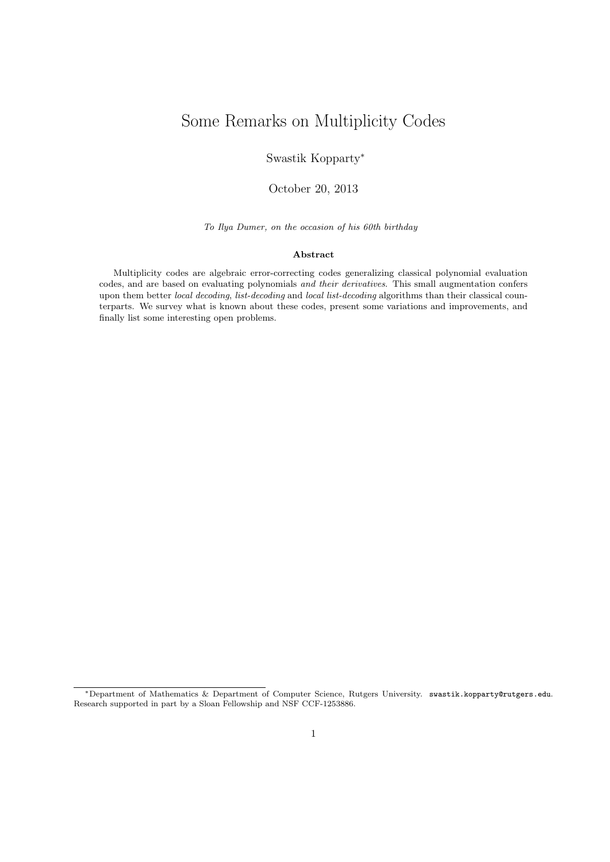# Some Remarks on Multiplicity Codes

Swastik Kopparty<sup>∗</sup>

October 20, 2013

To Ilya Dumer, on the occasion of his 60th birthday

#### Abstract

Multiplicity codes are algebraic error-correcting codes generalizing classical polynomial evaluation codes, and are based on evaluating polynomials and their derivatives. This small augmentation confers upon them better local decoding, list-decoding and local list-decoding algorithms than their classical counterparts. We survey what is known about these codes, present some variations and improvements, and finally list some interesting open problems.

<sup>∗</sup>Department of Mathematics & Department of Computer Science, Rutgers University. swastik.kopparty@rutgers.edu. Research supported in part by a Sloan Fellowship and NSF CCF-1253886.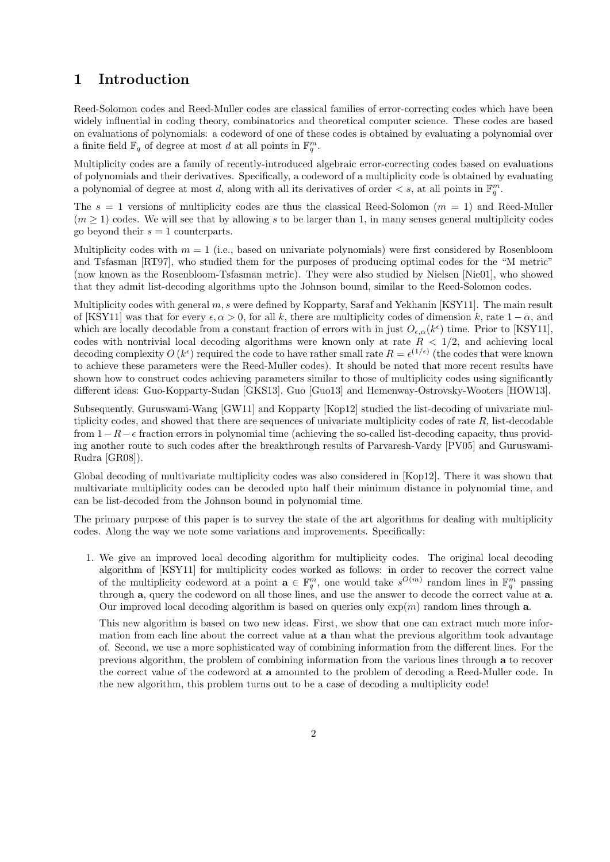# 1 Introduction

Reed-Solomon codes and Reed-Muller codes are classical families of error-correcting codes which have been widely influential in coding theory, combinatorics and theoretical computer science. These codes are based on evaluations of polynomials: a codeword of one of these codes is obtained by evaluating a polynomial over a finite field  $\mathbb{F}_q$  of degree at most d at all points in  $\mathbb{F}_q^m$ .

Multiplicity codes are a family of recently-introduced algebraic error-correcting codes based on evaluations of polynomials and their derivatives. Specifically, a codeword of a multiplicity code is obtained by evaluating a polynomial of degree at most d, along with all its derivatives of order  $\lt s$ , at all points in  $\mathbb{F}_q^m$ .

The  $s = 1$  versions of multiplicity codes are thus the classical Reed-Solomon  $(m = 1)$  and Reed-Muller  $(m \geq 1)$  codes. We will see that by allowing s to be larger than 1, in many senses general multiplicity codes go beyond their  $s = 1$  counterparts.

Multiplicity codes with  $m = 1$  (i.e., based on univariate polynomials) were first considered by Rosenbloom and Tsfasman [RT97], who studied them for the purposes of producing optimal codes for the "M metric" (now known as the Rosenbloom-Tsfasman metric). They were also studied by Nielsen [Nie01], who showed that they admit list-decoding algorithms upto the Johnson bound, similar to the Reed-Solomon codes.

Multiplicity codes with general  $m$ , s were defined by Kopparty, Saraf and Yekhanin [KSY11]. The main result of [KSY11] was that for every  $\epsilon, \alpha > 0$ , for all k, there are multiplicity codes of dimension k, rate  $1 - \alpha$ , and which are locally decodable from a constant fraction of errors with in just  $O_{\epsilon,\alpha}(k^{\epsilon})$  time. Prior to [KSY11], codes with nontrivial local decoding algorithms were known only at rate  $R < 1/2$ , and achieving local decoding complexity  $O(k^{\epsilon})$  required the code to have rather small rate  $R = \epsilon^{(1/\epsilon)}$  (the codes that were known to achieve these parameters were the Reed-Muller codes). It should be noted that more recent results have shown how to construct codes achieving parameters similar to those of multiplicity codes using significantly different ideas: Guo-Kopparty-Sudan [GKS13], Guo [Guo13] and Hemenway-Ostrovsky-Wooters [HOW13].

Subsequently, Guruswami-Wang [GW11] and Kopparty [Kop12] studied the list-decoding of univariate multiplicity codes, and showed that there are sequences of univariate multiplicity codes of rate  $R$ , list-decodable from  $1-R-\epsilon$  fraction errors in polynomial time (achieving the so-called list-decoding capacity, thus providing another route to such codes after the breakthrough results of Parvaresh-Vardy [PV05] and Guruswami-Rudra [GR08]).

Global decoding of multivariate multiplicity codes was also considered in [Kop12]. There it was shown that multivariate multiplicity codes can be decoded upto half their minimum distance in polynomial time, and can be list-decoded from the Johnson bound in polynomial time.

The primary purpose of this paper is to survey the state of the art algorithms for dealing with multiplicity codes. Along the way we note some variations and improvements. Specifically:

1. We give an improved local decoding algorithm for multiplicity codes. The original local decoding algorithm of [KSY11] for multiplicity codes worked as follows: in order to recover the correct value of the multiplicity codeword at a point  $\mathbf{a} \in \mathbb{F}_q^m$ , one would take  $s^{O(m)}$  random lines in  $\mathbb{F}_q^m$  passing through a, query the codeword on all those lines, and use the answer to decode the correct value at a. Our improved local decoding algorithm is based on queries only  $\exp(m)$  random lines through a.

This new algorithm is based on two new ideas. First, we show that one can extract much more information from each line about the correct value at **a** than what the previous algorithm took advantage of. Second, we use a more sophisticated way of combining information from the different lines. For the previous algorithm, the problem of combining information from the various lines through a to recover the correct value of the codeword at a amounted to the problem of decoding a Reed-Muller code. In the new algorithm, this problem turns out to be a case of decoding a multiplicity code!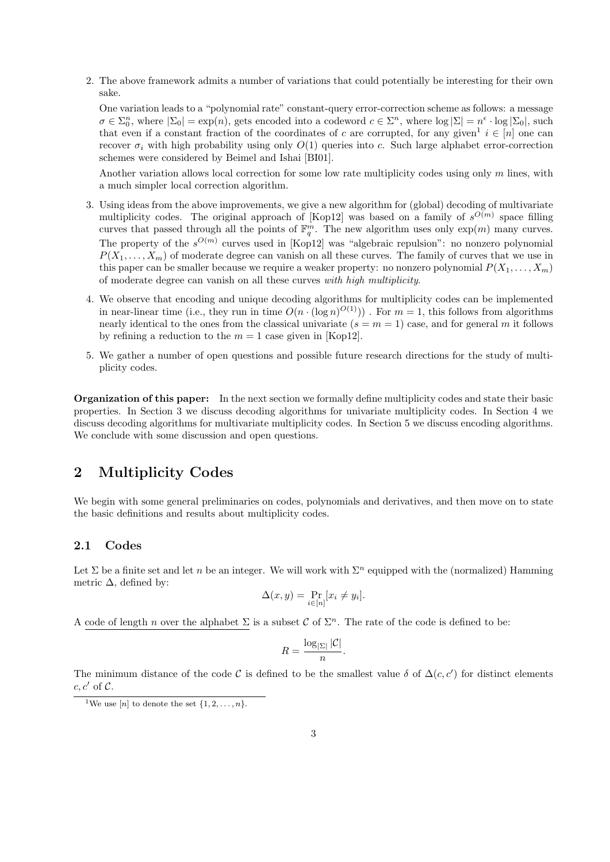2. The above framework admits a number of variations that could potentially be interesting for their own sake.

One variation leads to a "polynomial rate" constant-query error-correction scheme as follows: a message  $\sigma \in \Sigma_0^n$ , where  $|\Sigma_0| = \exp(n)$ , gets encoded into a codeword  $c \in \Sigma^n$ , where  $\log |\Sigma| = n^{\epsilon} \cdot \log |\Sigma_0|$ , such that even if a constant fraction of the coordinates of c are corrupted, for any given<sup>1</sup>  $i \in [n]$  one can recover  $\sigma_i$  with high probability using only  $O(1)$  queries into c. Such large alphabet error-correction schemes were considered by Beimel and Ishai [BI01].

Another variation allows local correction for some low rate multiplicity codes using only m lines, with a much simpler local correction algorithm.

- 3. Using ideas from the above improvements, we give a new algorithm for (global) decoding of multivariate multiplicity codes. The original approach of [Kop12] was based on a family of  $s^{O(m)}$  space filling curves that passed through all the points of  $\mathbb{F}_q^m$ . The new algorithm uses only  $\exp(m)$  many curves. The property of the  $s^{O(m)}$  curves used in [Kop12] was "algebraic repulsion": no nonzero polynomial  $P(X_1, \ldots, X_m)$  of moderate degree can vanish on all these curves. The family of curves that we use in this paper can be smaller because we require a weaker property: no nonzero polynomial  $P(X_1, \ldots, X_m)$ of moderate degree can vanish on all these curves with high multiplicity.
- 4. We observe that encoding and unique decoding algorithms for multiplicity codes can be implemented in near-linear time (i.e., they run in time  $O(n \cdot (\log n)^{O(1)})$ ). For  $m = 1$ , this follows from algorithms nearly identical to the ones from the classical univariate  $(s = m = 1)$  case, and for general m it follows by refining a reduction to the  $m = 1$  case given in [Kop12].
- 5. We gather a number of open questions and possible future research directions for the study of multiplicity codes.

Organization of this paper: In the next section we formally define multiplicity codes and state their basic properties. In Section 3 we discuss decoding algorithms for univariate multiplicity codes. In Section 4 we discuss decoding algorithms for multivariate multiplicity codes. In Section 5 we discuss encoding algorithms. We conclude with some discussion and open questions.

## 2 Multiplicity Codes

We begin with some general preliminaries on codes, polynomials and derivatives, and then move on to state the basic definitions and results about multiplicity codes.

#### 2.1 Codes

Let  $\Sigma$  be a finite set and let n be an integer. We will work with  $\Sigma^n$  equipped with the (normalized) Hamming metric  $\Delta$ , defined by:

$$
\Delta(x, y) = \Pr_{i \in [n]} [x_i \neq y_i].
$$

A code of length n over the alphabet  $\Sigma$  is a subset C of  $\Sigma<sup>n</sup>$ . The rate of the code is defined to be:

$$
R = \frac{\log_{|\Sigma|} |\mathcal{C}|}{n}.
$$

The minimum distance of the code C is defined to be the smallest value  $\delta$  of  $\Delta(c, c')$  for distinct elements  $c, c'$  of  $\mathcal{C}.$ 

<sup>&</sup>lt;sup>1</sup>We use [n] to denote the set  $\{1, 2, \ldots, n\}$ .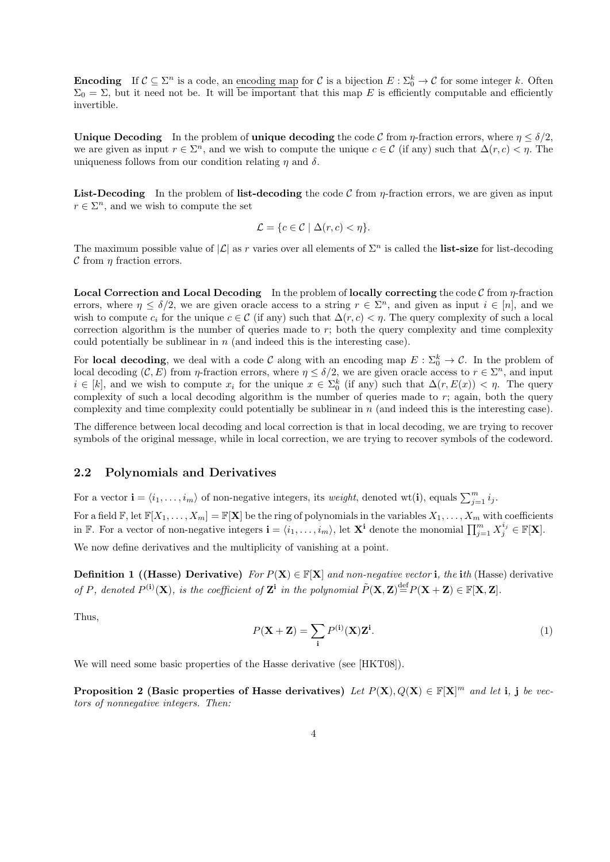**Encoding** If  $C \subseteq \Sigma^n$  is a code, an encoding map for C is a bijection  $E : \Sigma_0^k \to C$  for some integer k. Often  $\Sigma_0 = \Sigma$ , but it need not be. It will be important that this map E is efficiently computable and efficiently invertible.

Unique Decoding In the problem of unique decoding the code C from  $\eta$ -fraction errors, where  $\eta \leq \delta/2$ . we are given as input  $r \in \Sigma^n$ , and we wish to compute the unique  $c \in \mathcal{C}$  (if any) such that  $\Delta(r, c) < \eta$ . The uniqueness follows from our condition relating  $\eta$  and  $\delta$ .

**List-Decoding** In the problem of list-decoding the code C from  $\eta$ -fraction errors, we are given as input  $r \in \Sigma^n$ , and we wish to compute the set

$$
\mathcal{L} = \{c \in \mathcal{C} \mid \Delta(r, c) < \eta\}.
$$

The maximum possible value of  $|\mathcal{L}|$  as r varies over all elements of  $\Sigma^n$  is called the **list-size** for list-decoding  $\mathcal C$  from  $\eta$  fraction errors.

**Local Correction and Local Decoding** In the problem of **locally correcting** the code  $C$  from  $\eta$ -fraction errors, where  $\eta \leq \delta/2$ , we are given oracle access to a string  $r \in \Sigma<sup>n</sup>$ , and given as input  $i \in [n]$ , and we wish to compute  $c_i$  for the unique  $c \in \mathcal{C}$  (if any) such that  $\Delta(r, c) < \eta$ . The query complexity of such a local correction algorithm is the number of queries made to r; both the query complexity and time complexity could potentially be sublinear in  $n$  (and indeed this is the interesting case).

For local decoding, we deal with a code C along with an encoding map  $E: \Sigma_0^k \to \mathcal{C}$ . In the problem of local decoding  $(C, E)$  from  $\eta$ -fraction errors, where  $\eta \le \delta/2$ , we are given oracle access to  $r \in \Sigma<sup>n</sup>$ , and input  $i \in [k]$ , and we wish to compute  $x_i$  for the unique  $x \in \Sigma_0^k$  (if any) such that  $\Delta(r, E(x)) < \eta$ . The query complexity of such a local decoding algorithm is the number of queries made to  $r$ ; again, both the query complexity and time complexity could potentially be sublinear in n (and indeed this is the interesting case).

The difference between local decoding and local correction is that in local decoding, we are trying to recover symbols of the original message, while in local correction, we are trying to recover symbols of the codeword.

#### 2.2 Polynomials and Derivatives

For a vector  $\mathbf{i} = \langle i_1, \ldots, i_m \rangle$  of non-negative integers, its weight, denoted wt(i), equals  $\sum_{j=1}^m i_j$ .

For a field  $\mathbb{F}$ , let  $\mathbb{F}[X_1,\ldots,X_m] = \mathbb{F}[\mathbf{X}]$  be the ring of polynomials in the variables  $X_1,\ldots,X_m$  with coefficients in F. For a vector of non-negative integers  $\mathbf{i} = \langle i_1, \ldots, i_m \rangle$ , let  $\mathbf{X}^{\mathbf{i}}$  denote the monomial  $\prod_{j=1}^m X_j^{i_j} \in \mathbb{F}[\mathbf{X}]$ .

We now define derivatives and the multiplicity of vanishing at a point.

**Definition 1 ((Hasse) Derivative)** For  $P(X) \in \mathbb{F}[X]$  and non-negative vector i, the ith (Hasse) derivative of P, denoted  $P^{(i)}(\mathbf{X})$ , is the coefficient of  $\mathbf{Z}^i$  in the polynomial  $\tilde{P}(\mathbf{X}, \mathbf{Z}) \stackrel{\text{def}}{=} P(\mathbf{X} + \mathbf{Z}) \in \mathbb{F}[\mathbf{X}, \mathbf{Z}]$ .

Thus,

$$
P(\mathbf{X} + \mathbf{Z}) = \sum_{\mathbf{i}} P^{(\mathbf{i})}(\mathbf{X}) \mathbf{Z}^{\mathbf{i}}.
$$
 (1)

We will need some basic properties of the Hasse derivative (see [HKT08]).

Proposition 2 (Basic properties of Hasse derivatives) Let  $P(X), Q(X) \in \mathbb{F}[X]^m$  and let i, j be vectors of nonnegative integers. Then: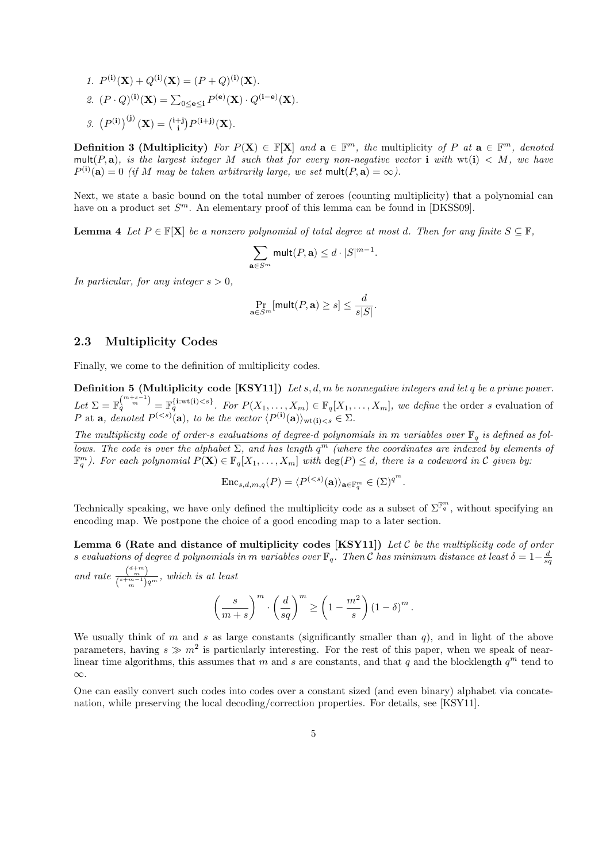1.  $P^{(i)}(\mathbf{X}) + Q^{(i)}(\mathbf{X}) = (P+Q)^{(i)}(\mathbf{X}).$ 2.  $(P \cdot Q)^{(i)}(\mathbf{X}) = \sum_{0 \le e \le i} P^{(e)}(\mathbf{X}) \cdot Q^{(i-e)}(\mathbf{X}).$ 3.  $(P^{(i)})^{(j)}(X) = {i+j \choose i} P^{(i+j)}(X)$ .

**Definition 3 (Multiplicity)** For  $P(X) \in \mathbb{F}[X]$  and  $\mathbf{a} \in \mathbb{F}^m$ , the multiplicity of P at  $\mathbf{a} \in \mathbb{F}^m$ , denoted mult(P, a), is the largest integer M such that for every non-negative vector i with  $wt(i) < M$ , we have  $P^{(i)}(a) = 0$  (if M may be taken arbitrarily large, we set  $mult(P, a) = \infty$ ).

Next, we state a basic bound on the total number of zeroes (counting multiplicity) that a polynomial can have on a product set  $S^m$ . An elementary proof of this lemma can be found in [DKSS09].

**Lemma 4** Let  $P \in \mathbb{F}[\mathbf{X}]$  be a nonzero polynomial of total degree at most d. Then for any finite  $S \subseteq \mathbb{F}$ ,

$$
\sum_{\mathbf{a}\in S^m} \operatorname{mult}(P,\mathbf{a})\leq d\cdot |S|^{m-1}.
$$

In particular, for any integer  $s > 0$ ,

$$
\Pr_{\mathbf{a}\in S^m}[\mathsf{mult}(P,\mathbf{a})\geq s]\leq \frac{d}{s|S|}.
$$

#### 2.3 Multiplicity Codes

Finally, we come to the definition of multiplicity codes.

**Definition 5 (Multiplicity code [KSY11])** Let s, d, m be nonnegative integers and let q be a prime power. Let  $\Sigma = \mathbb{F}_q^{(m+s-1)} = \mathbb{F}_q^{\{\text{i}:wt(i). For  $P(X_1,\ldots,X_m) \in \mathbb{F}_q[X_1,\ldots,X_m]$ , we define the order s evaluation of$ P at **a**, denoted  $P^{(, to be the vector  $\langle P^{(\mathbf{i})}(\mathbf{a}) \rangle_{\text{wt}(\mathbf{i}) < s} \in \Sigma$ .$ 

The multiplicity code of order-s evaluations of degree-d polynomials in m variables over  $\mathbb{F}_q$  is defined as follows. The code is over the alphabet  $\Sigma$ , and has length  $q^m$  (where the coordinates are indexed by elements of  $\mathbb{F}_q^m$ ). For each polynomial  $P(\mathbf{X}) \in \mathbb{F}_q[X_1,\ldots,X_m]$  with  $\deg(P) \leq d$ , there is a codeword in C given by:

$$
\mathrm{Enc}_{s,d,m,q}(P) = \langle P^{(
$$

Technically speaking, we have only defined the multiplicity code as a subset of  $\Sigma^{\mathbb{F}_q^m}$ , without specifying an encoding map. We postpone the choice of a good encoding map to a later section.

Lemma 6 (Rate and distance of multiplicity codes [KSY11]) Let  $\mathcal C$  be the multiplicity code of order s evaluations of degree d polynomials in m variables over  $\mathbb{F}_q$ . Then C has minimum distance at least  $\delta = 1-\frac{d}{sq}$ and rate  $\frac{\binom{d+m}{m}}{\binom{s+m-1}{m}}$  $\frac{\binom{m}{m}}{\binom{s+m-1}{m}q^m}$ , which is at least

$$
\left(\frac{s}{m+s}\right)^m \cdot \left(\frac{d}{sq}\right)^m \ge \left(1 - \frac{m^2}{s}\right) \left(1 - \delta\right)^m.
$$

We usually think of m and s as large constants (significantly smaller than  $q$ ), and in light of the above parameters, having  $s \gg m^2$  is particularly interesting. For the rest of this paper, when we speak of nearlinear time algorithms, this assumes that m and s are constants, and that q and the blocklength  $q^m$  tend to ∞.

One can easily convert such codes into codes over a constant sized (and even binary) alphabet via concatenation, while preserving the local decoding/correction properties. For details, see [KSY11].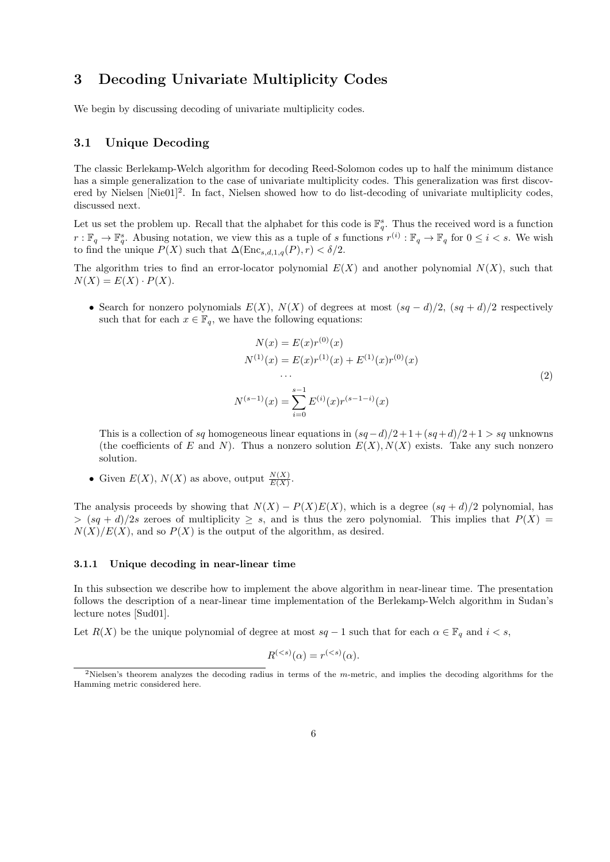# 3 Decoding Univariate Multiplicity Codes

We begin by discussing decoding of univariate multiplicity codes.

#### 3.1 Unique Decoding

The classic Berlekamp-Welch algorithm for decoding Reed-Solomon codes up to half the minimum distance has a simple generalization to the case of univariate multiplicity codes. This generalization was first discovered by Nielsen [Nie01]<sup>2</sup>. In fact, Nielsen showed how to do list-decoding of univariate multiplicity codes, discussed next.

Let us set the problem up. Recall that the alphabet for this code is  $\mathbb{F}_q^s$ . Thus the received word is a function  $r: \mathbb{F}_q \to \mathbb{F}_q^s$ . Abusing notation, we view this as a tuple of s functions  $r^{(i)}: \mathbb{F}_q \to \mathbb{F}_q$  for  $0 \leq i < s$ . We wish to find the unique  $P(X)$  such that  $\Delta(\text{Enc}_{s,d,1,q}(P), r) < \delta/2$ .

The algorithm tries to find an error-locator polynomial  $E(X)$  and another polynomial  $N(X)$ , such that  $N(X) = E(X) \cdot P(X)$ .

• Search for nonzero polynomials  $E(X)$ ,  $N(X)$  of degrees at most  $(sq - d)/2$ ,  $(sq + d)/2$  respectively such that for each  $x \in \mathbb{F}_q$ , we have the following equations:

$$
N(x) = E(x)r^{(0)}(x)
$$
  
\n
$$
N^{(1)}(x) = E(x)r^{(1)}(x) + E^{(1)}(x)r^{(0)}(x)
$$
  
\n...  
\n
$$
N^{(s-1)}(x) = \sum_{i=0}^{s-1} E^{(i)}(x)r^{(s-1-i)}(x)
$$
\n(2)

This is a collection of sq homogeneous linear equations in  $(sq-d)/2+1+(sq+d)/2+1 > sq$  unknowns (the coefficients of E and N). Thus a nonzero solution  $E(X)$ ,  $N(X)$  exists. Take any such nonzero solution.

• Given  $E(X)$ ,  $N(X)$  as above, output  $\frac{N(X)}{E(X)}$ .

The analysis proceeds by showing that  $N(X) - P(X)E(X)$ , which is a degree  $(sq + d)/2$  polynomial, has  $> (sq + d)/2s$  zeroes of multiplicity  $\geq s$ , and is thus the zero polynomial. This implies that  $P(X)$  =  $N(X)/E(X)$ , and so  $P(X)$  is the output of the algorithm, as desired.

#### 3.1.1 Unique decoding in near-linear time

In this subsection we describe how to implement the above algorithm in near-linear time. The presentation follows the description of a near-linear time implementation of the Berlekamp-Welch algorithm in Sudan's lecture notes [Sud01].

Let  $R(X)$  be the unique polynomial of degree at most  $sq-1$  such that for each  $\alpha \in \mathbb{F}_q$  and  $i < s$ ,

$$
R^{(
$$

<sup>&</sup>lt;sup>2</sup>Nielsen's theorem analyzes the decoding radius in terms of the m-metric, and implies the decoding algorithms for the Hamming metric considered here.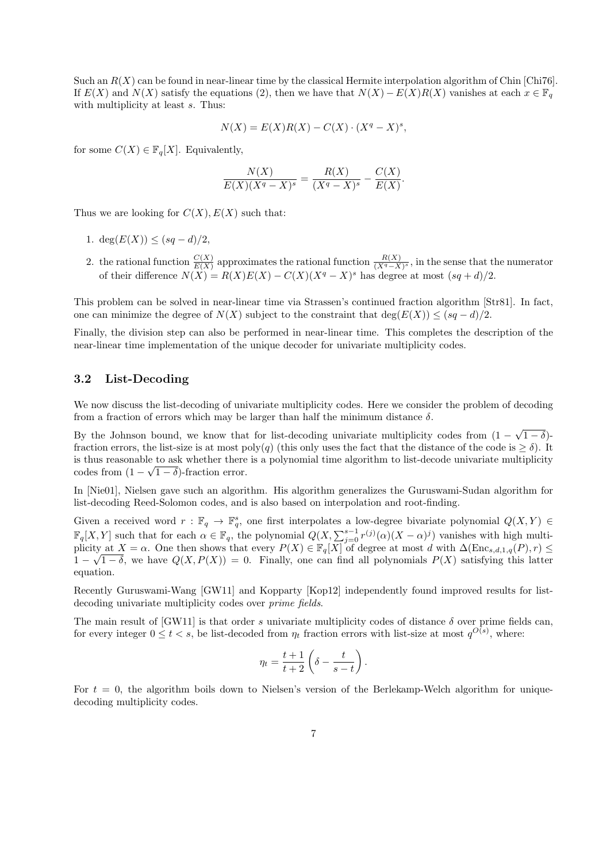Such an  $R(X)$  can be found in near-linear time by the classical Hermite interpolation algorithm of Chin [Chi76]. If  $E(X)$  and  $N(X)$  satisfy the equations (2), then we have that  $N(X) - E(X)R(X)$  vanishes at each  $x \in \mathbb{F}_q$ with multiplicity at least  $s$ . Thus:

$$
N(X) = E(X)R(X) - C(X) \cdot (X^q - X)^s,
$$

for some  $C(X) \in \mathbb{F}_q[X]$ . Equivalently,

$$
\frac{N(X)}{E(X)(X^q - X)^s} = \frac{R(X)}{(X^q - X)^s} - \frac{C(X)}{E(X)}.
$$

Thus we are looking for  $C(X)$ ,  $E(X)$  such that:

- 1. deg( $E(X)$ ) ≤ (sq d)/2,
- 2. the rational function  $\frac{C(X)}{E(X)}$  approximates the rational function  $\frac{R(X)}{(X^q X)^s}$ , in the sense that the numerator of their difference  $N(X) = R(X)E(X) - C(X)(X^q - X)^s$  has degree at most  $(sq + d)/2$ .

This problem can be solved in near-linear time via Strassen's continued fraction algorithm [Str81]. In fact, one can minimize the degree of  $N(X)$  subject to the constraint that deg( $E(X)$ )  $\leq (sq - d)/2$ .

Finally, the division step can also be performed in near-linear time. This completes the description of the near-linear time implementation of the unique decoder for univariate multiplicity codes.

#### 3.2 List-Decoding

We now discuss the list-decoding of univariate multiplicity codes. Here we consider the problem of decoding from a fraction of errors which may be larger than half the minimum distance  $\delta$ .

By the Johnson bound, we know that for list-decoding univariate multiplicity codes from (1 − √  $(1-\delta)$ fraction errors, the list-size is at most poly(q) (this only uses the fact that the distance of the code is  $\geq \delta$ ). It is thus reasonable to ask whether there is a polynomial time algorithm to list-decode univariate multiplicity √ codes from  $(1 - \sqrt{1 - \delta})$ -fraction error.

In [Nie01], Nielsen gave such an algorithm. His algorithm generalizes the Guruswami-Sudan algorithm for list-decoding Reed-Solomon codes, and is also based on interpolation and root-finding.

Given a received word  $r : \mathbb{F}_q \to \mathbb{F}_q^s$ , one first interpolates a low-degree bivariate polynomial  $Q(X, Y) \in$  $\mathbb{F}_q[X,Y]$  such that for each  $\alpha \in \mathbb{F}_q$ , the polynomial  $Q(X,\sum_{j=0}^{s-1} r^{(j)}(\alpha)(X-\alpha)^j)$  vanishes with high multiplicity at  $X = \alpha$ . One then shows that every  $P(X) \in \mathbb{F}_q[X]$  of degree at most d with  $\Delta(\text{Enc}_{s,d,1,q}(P), r) \leq$  $1 - \sqrt{1 - \delta}$ , we have  $Q(X, P(X)) = 0$ . Finally, one can find all polynomials  $P(X)$  satisfying this latter equation.

Recently Guruswami-Wang [GW11] and Kopparty [Kop12] independently found improved results for listdecoding univariate multiplicity codes over prime fields.

The main result of [GW11] is that order s univariate multiplicity codes of distance  $\delta$  over prime fields can, for every integer  $0 \le t < s$ , be list-decoded from  $\eta_t$  fraction errors with list-size at most  $q^{O(s)}$ , where:

$$
\eta_t = \frac{t+1}{t+2} \left( \delta - \frac{t}{s-t} \right).
$$

For  $t = 0$ , the algorithm boils down to Nielsen's version of the Berlekamp-Welch algorithm for uniquedecoding multiplicity codes.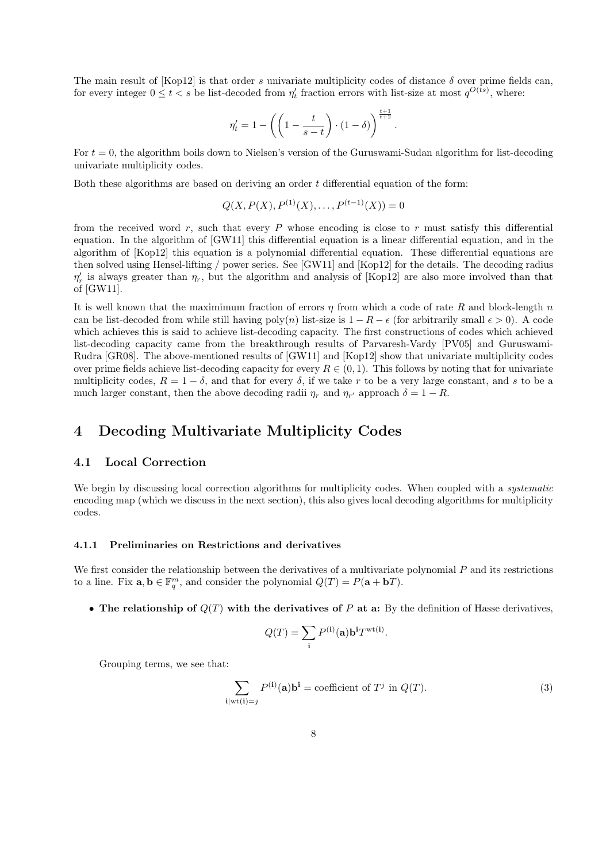The main result of [Kop12] is that order s univariate multiplicity codes of distance  $\delta$  over prime fields can, for every integer  $0 \le t < s$  be list-decoded from  $\eta'_t$  fraction errors with list-size at most  $q^{O(ts)}$ , where:

$$
\eta_t' = 1 - \left( \left( 1 - \frac{t}{s-t} \right) \cdot (1-\delta) \right)^{\frac{t+1}{t+2}}.
$$

For  $t = 0$ , the algorithm boils down to Nielsen's version of the Guruswami-Sudan algorithm for list-decoding univariate multiplicity codes.

Both these algorithms are based on deriving an order  $t$  differential equation of the form:

$$
Q(X, P(X), P^{(1)}(X), \dots, P^{(t-1)}(X)) = 0
$$

from the received word  $r$ , such that every P whose encoding is close to r must satisfy this differential equation. In the algorithm of [GW11] this differential equation is a linear differential equation, and in the algorithm of [Kop12] this equation is a polynomial differential equation. These differential equations are then solved using Hensel-lifting / power series. See [GW11] and [Kop12] for the details. The decoding radius  $\eta'_r$  is always greater than  $\eta_r$ , but the algorithm and analysis of [Kop12] are also more involved than that of [GW11].

It is well known that the maximimum fraction of errors  $\eta$  from which a code of rate R and block-length n can be list-decoded from while still having poly(n) list-size is  $1 - R - \epsilon$  (for arbitrarily small  $\epsilon > 0$ ). A code which achieves this is said to achieve list-decoding capacity. The first constructions of codes which achieved list-decoding capacity came from the breakthrough results of Parvaresh-Vardy [PV05] and Guruswami-Rudra [GR08]. The above-mentioned results of [GW11] and [Kop12] show that univariate multiplicity codes over prime fields achieve list-decoding capacity for every  $R \in (0, 1)$ . This follows by noting that for univariate multiplicity codes,  $R = 1 - \delta$ , and that for every  $\delta$ , if we take r to be a very large constant, and s to be a much larger constant, then the above decoding radii  $\eta_r$  and  $\eta_{r'}$  approach  $\delta = 1 - R$ .

## 4 Decoding Multivariate Multiplicity Codes

#### 4.1 Local Correction

We begin by discussing local correction algorithms for multiplicity codes. When coupled with a *systematic* encoding map (which we discuss in the next section), this also gives local decoding algorithms for multiplicity codes.

#### 4.1.1 Preliminaries on Restrictions and derivatives

We first consider the relationship between the derivatives of a multivariate polynomial  $P$  and its restrictions to a line. Fix  $\mathbf{a}, \mathbf{b} \in \mathbb{F}_q^m$ , and consider the polynomial  $Q(T) = P(\mathbf{a} + \mathbf{b}T)$ .

• The relationship of  $Q(T)$  with the derivatives of P at a: By the definition of Hasse derivatives,

$$
Q(T) = \sum_{\mathbf{i}} P^{(\mathbf{i})}(\mathbf{a}) \mathbf{b}^{\mathbf{i}} T^{\text{wt}(\mathbf{i})}.
$$

Grouping terms, we see that:

$$
\sum_{\mathbf{i}|\text{wt}(\mathbf{i})=j} P^{(\mathbf{i})}(\mathbf{a})\mathbf{b}^{\mathbf{i}} = \text{coefficient of } T^j \text{ in } Q(T). \tag{3}
$$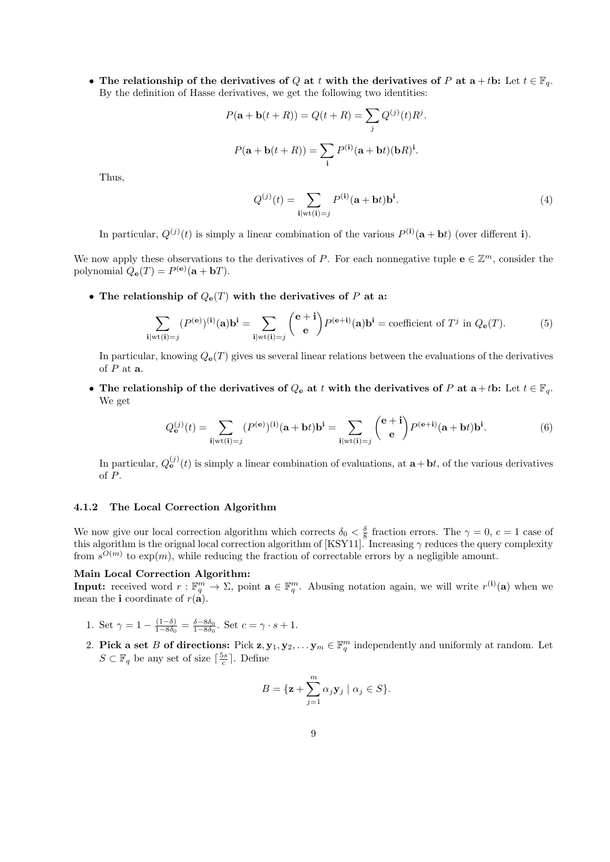• The relationship of the derivatives of Q at t with the derivatives of P at  $a + tb$ : Let  $t \in \mathbb{F}_q$ . By the definition of Hasse derivatives, we get the following two identities:

$$
P(\mathbf{a} + \mathbf{b}(t + R)) = Q(t + R) = \sum_{j} Q^{(j)}(t) R^{j}.
$$

$$
P(\mathbf{a} + \mathbf{b}(t + R)) = \sum_{i} P^{(i)}(\mathbf{a} + \mathbf{b}t)(\mathbf{b}R)^{i}.
$$

Thus,

$$
Q^{(j)}(t) = \sum_{\mathbf{i}|\text{wt}(\mathbf{i})=j} P^{(\mathbf{i})}(\mathbf{a} + \mathbf{b}t)\mathbf{b}^{\mathbf{i}}.
$$
 (4)

In particular,  $Q^{(j)}(t)$  is simply a linear combination of the various  $P^{(i)}(a + bt)$  (over different i).

We now apply these observations to the derivatives of P. For each nonnegative tuple  $\mathbf{e} \in \mathbb{Z}^m$ , consider the polynomial  $Q_{\mathbf{e}}(T) = P^{(\mathbf{e})}(\mathbf{a} + \mathbf{b}T)$ .

• The relationship of  $Q_{e}(T)$  with the derivatives of P at a:

$$
\sum_{\mathbf{i}|\mathrm{wt}(\mathbf{i})=j} (P^{(\mathbf{e})})^{(\mathbf{i})}(\mathbf{a})\mathbf{b}^{\mathbf{i}} = \sum_{\mathbf{i}|\mathrm{wt}(\mathbf{i})=j} \binom{\mathbf{e}+\mathbf{i}}{\mathbf{e}} P^{(\mathbf{e}+\mathbf{i})}(\mathbf{a})\mathbf{b}^{\mathbf{i}} = \text{coefficient of } T^j \text{ in } Q_{\mathbf{e}}(T). \tag{5}
$$

In particular, knowing  $Q_{\mathbf{e}}(T)$  gives us several linear relations between the evaluations of the derivatives of  $P$  at  $a$ .

• The relationship of the derivatives of  $Q_e$  at t with the derivatives of P at  $a+tb$ : Let  $t \in \mathbb{F}_q$ . We get

$$
Q_{\mathbf{e}}^{(j)}(t) = \sum_{\mathbf{i}|\text{wt}(\mathbf{i})=j} (P^{(\mathbf{e})})^{(\mathbf{i})}(\mathbf{a}+\mathbf{b}t)\mathbf{b}^{\mathbf{i}} = \sum_{\mathbf{i}|\text{wt}(\mathbf{i})=j} {(\mathbf{e}+\mathbf{i}) \choose \mathbf{e}} P^{(\mathbf{e}+\mathbf{i})}(\mathbf{a}+\mathbf{b}t)\mathbf{b}^{\mathbf{i}}.
$$
 (6)

In particular,  $Q_{\mathbf{e}}^{(j)}(t)$  is simply a linear combination of evaluations, at  $\mathbf{a}+\mathbf{b}t$ , of the various derivatives of P.

#### 4.1.2 The Local Correction Algorithm

We now give our local correction algorithm which corrects  $\delta_0 < \frac{\delta}{8}$  fraction errors. The  $\gamma = 0, c = 1$  case of this algorithm is the orignal local correction algorithm of [KSY11]. Increasing  $\gamma$  reduces the query complexity from  $s^{O(m)}$  to  $\exp(m)$ , while reducing the fraction of correctable errors by a negligible amount.

#### Main Local Correction Algorithm:

**Input:** received word  $r : \mathbb{F}_q^m \to \Sigma$ , point  $\mathbf{a} \in \mathbb{F}_q^m$ . Abusing notation again, we will write  $r^{(i)}(\mathbf{a})$  when we mean the **i** coordinate of  $r(\mathbf{a})$ .

- 1. Set  $\gamma = 1 \frac{(1-\delta)}{1-8\delta_0}$  $\frac{(1-\delta)}{1-8\delta_0} = \frac{\delta-8\delta_0}{1-8\delta_0}$ . Set  $c = \gamma \cdot s + 1$ .
- 2. Pick a set B of directions: Pick  $z, y_1, y_2, \ldots, y_m \in \mathbb{F}_q^m$  independently and uniformly at random. Let  $S \subset \mathbb{F}_q$  be any set of size  $\lceil \frac{5s}{c} \rceil$ . Define

$$
B = \{ \mathbf{z} + \sum_{j=1}^{m} \alpha_j \mathbf{y}_j \mid \alpha_j \in S \}.
$$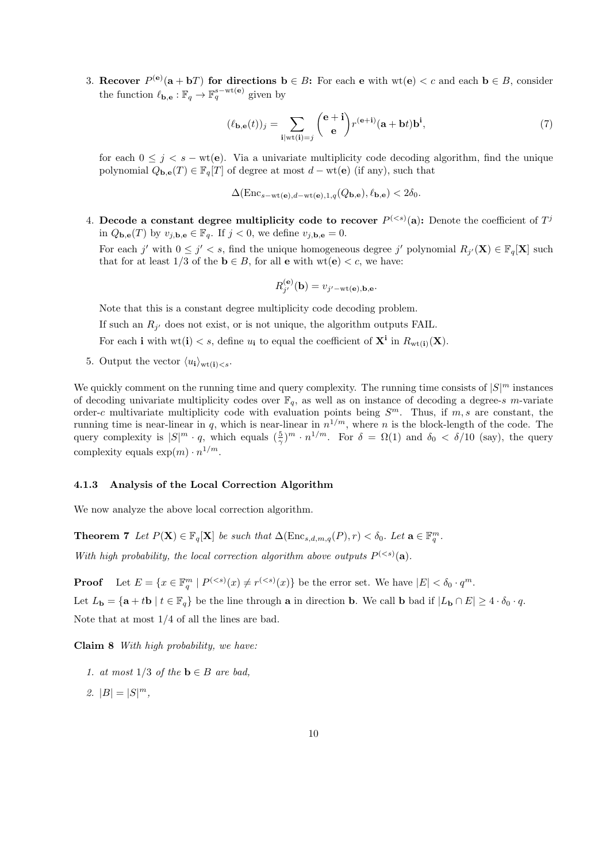3. Recover  $P^{(e)}(a + bT)$  for directions  $b \in B$ : For each e with  $wt(e) < c$  and each  $b \in B$ , consider the function  $\ell_{\mathbf{b},\mathbf{e}} : \mathbb{F}_q \to \mathbb{F}_q^{s-\text{wt}(\mathbf{e})}$  given by

$$
(\ell_{\mathbf{b},\mathbf{e}}(t))_j = \sum_{\mathbf{i}|\mathrm{wt}(\mathbf{i})=j} \binom{\mathbf{e}+\mathbf{i}}{\mathbf{e}} r^{(\mathbf{e}+\mathbf{i})} (\mathbf{a}+\mathbf{b}t) \mathbf{b}^{\mathbf{i}},\tag{7}
$$

for each  $0 \leq j \leq s - \text{wt}(\mathbf{e})$ . Via a univariate multiplicity code decoding algorithm, find the unique polynomial  $Q_{\mathbf{b},\mathbf{e}}(T) \in \mathbb{F}_q[T]$  of degree at most  $d - \text{wt}(\mathbf{e})$  (if any), such that

 $\Delta(\text{Enc}_{s-wt(e),d-wt(e),1,q}(Q_{\mathbf{b},\mathbf{e}}), \ell_{\mathbf{b},\mathbf{e}}) < 2\delta_0.$ 

4. Decode a constant degree multiplicity code to recover  $P^{(: Denote the coefficient of  $T^j$$ in  $Q_{\mathbf{b},\mathbf{e}}(T)$  by  $v_{j,\mathbf{b},\mathbf{e}} \in \mathbb{F}_q$ . If  $j < 0$ , we define  $v_{j,\mathbf{b},\mathbf{e}} = 0$ .

For each j' with  $0 \leq j' < s$ , find the unique homogeneous degree j' polynomial  $R_{j'}(\mathbf{X}) \in \mathbb{F}_q[\mathbf{X}]$  such that for at least 1/3 of the  $\mathbf{b} \in B$ , for all **e** with  $\text{wt}(\mathbf{e}) < c$ , we have:

$$
R_{j'}^{(e)}(\mathbf{b}) = v_{j'-{\rm wt(e)},\mathbf{b},\mathbf{e}}.
$$

Note that this is a constant degree multiplicity code decoding problem.

If such an  $R_{j'}$  does not exist, or is not unique, the algorithm outputs FAIL.

For each **i** with  $wt(i) < s$ , define  $u_i$  to equal the coefficient of  $X^i$  in  $R_{wt(i)}(X)$ .

 $\sim$ 

5. Output the vector  $\langle u_{\mathbf{i}} \rangle_{\text{wt}(\mathbf{i}) < s}$ .

We quickly comment on the running time and query complexity. The running time consists of  $|S|^m$  instances of decoding univariate multiplicity codes over  $\mathbb{F}_q$ , as well as on instance of decoding a degree-s m-variate order-c multivariate multiplicity code with evaluation points being  $S<sup>m</sup>$ . Thus, if  $m, s$  are constant, the running time is near-linear in q, which is near-linear in  $n^{1/m}$ , where n is the block-length of the code. The query complexity is  $|S|^m \cdot q$ , which equals  $(\frac{5}{\gamma})^m \cdot n^{1/m}$ . For  $\delta = \Omega(1)$  and  $\delta_0 < \delta/10$  (say), the query complexity equals  $\exp(m) \cdot n^{1/m}$ .

#### 4.1.3 Analysis of the Local Correction Algorithm

We now analyze the above local correction algorithm.

**Theorem 7** Let  $P(\mathbf{X}) \in \mathbb{F}_q[\mathbf{X}]$  be such that  $\Delta(\text{Enc}_{s,d,m,q}(P), r) < \delta_0$ . Let  $\mathbf{a} \in \mathbb{F}_q^m$ .

With high probability, the local correction algorithm above outputs  $P^{(.$ 

**Proof** Let  $E = \{x \in \mathbb{F}_q^m \mid P^{( be the error set. We have  $|E| < \delta_0 \cdot q^m$ .$ Let  $L_{\mathbf{b}} = {\mathbf{a} + t\mathbf{b} | t \in \mathbb{F}_q}$  be the line through a in direction b. We call b bad if  $|L_{\mathbf{b}} \cap E| \geq 4 \cdot \delta_0 \cdot q$ . Note that at most 1/4 of all the lines are bad.

Claim 8 With high probability, we have:

- 1. at most  $1/3$  of the  $\mathbf{b} \in B$  are bad.
- 2.  $|B| = |S|^m$ ,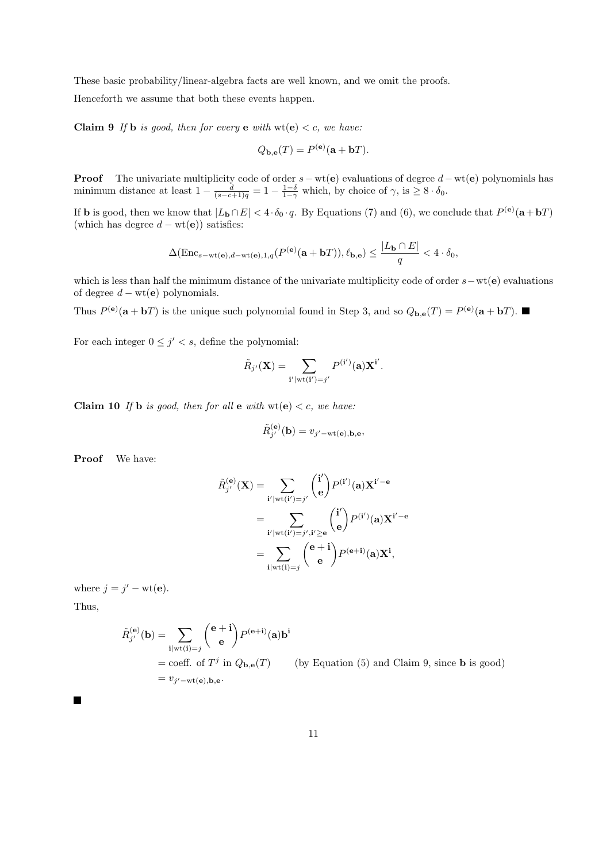These basic probability/linear-algebra facts are well known, and we omit the proofs.

Henceforth we assume that both these events happen.

**Claim 9** If **b** is good, then for every **e** with  $wt(e) < c$ , we have:

$$
Q_{\mathbf{b},\mathbf{e}}(T) = P^{(\mathbf{e})}(\mathbf{a} + \mathbf{b}T).
$$

**Proof** The univariate multiplicity code of order  $s-wt(e)$  evaluations of degree  $d-wt(e)$  polynomials has minimum distance at least  $1 - \frac{d}{(s-c+1)q} = 1 - \frac{1-\delta}{1-\gamma}$  which, by choice of  $\gamma$ , is  $\geq 8 \cdot \delta_0$ .

If **b** is good, then we know that  $|L_{\mathbf{b}} \cap E| < 4 \cdot \delta_0 \cdot q$ . By Equations (7) and (6), we conclude that  $P^{(\mathbf{e})}(\mathbf{a} + \mathbf{b}T)$ (which has degree  $d - wt(e)$ ) satisfies:

$$
\Delta(\text{Enc}_{s-\text{wt}(\mathbf{e}),d-\text{wt}(\mathbf{e}),1,q}(P^{(\mathbf{e})}(\mathbf{a}+\mathbf{b}T)),\ell_{\mathbf{b},\mathbf{e}}) \le \frac{|L_{\mathbf{b}} \cap E|}{q} < 4 \cdot \delta_0,
$$

which is less than half the minimum distance of the univariate multiplicity code of order  $s-wt(e)$  evaluations of degree  $d - wt(e)$  polynomials.

Thus  $P^{(e)}(a + bT)$  is the unique such polynomial found in Step 3, and so  $Q_{b,e}(T) = P^{(e)}(a + bT)$ .

For each integer  $0 \leq j' < s$ , define the polynomial:

$$
\tilde{R}_{j'}(\mathbf{X}) = \sum_{\mathbf{i'} \mid \mathrm{wt}(\mathbf{i'}) = j'} P^{(\mathbf{i'})}(\mathbf{a}) \mathbf{X}^{\mathbf{i'}}.
$$

Claim 10 If b is good, then for all e with  $wt(e) < c$ , we have:

$$
\tilde{R}_{j'}^{(e)}(\mathbf{b}) = v_{j'-{\rm wt(e)},\mathbf{b},\mathbf{e}},
$$

Proof We have:

$$
\tilde{R}_{j'}^{(e)}(\mathbf{X}) = \sum_{\mathbf{i'} \mid \text{wt}(\mathbf{i'}) = j'} \binom{\mathbf{i'}}{\mathbf{e}} P^{(\mathbf{i'})}(\mathbf{a}) \mathbf{X}^{\mathbf{i'} - \mathbf{e}}
$$
\n
$$
= \sum_{\mathbf{i'} \mid \text{wt}(\mathbf{i'}) = j', \mathbf{i'} \ge \mathbf{e}} \binom{\mathbf{i'}}{\mathbf{e}} P^{(\mathbf{i'})}(\mathbf{a}) \mathbf{X}^{\mathbf{i'} - \mathbf{e}}
$$
\n
$$
= \sum_{\mathbf{i} \mid \text{wt}(\mathbf{i}) = j} \binom{\mathbf{e} + \mathbf{i}}{\mathbf{e}} P^{(\mathbf{e} + \mathbf{i})}(\mathbf{a}) \mathbf{X}^{\mathbf{i}},
$$

where  $j = j' - \text{wt}(\mathbf{e})$ .

Thus,

$$
\tilde{R}_{j'}^{(e)}(\mathbf{b}) = \sum_{\mathbf{i}|\text{wt}(\mathbf{i})=j} \binom{e+\mathbf{i}}{e} P^{(e+\mathbf{i})}(\mathbf{a}) \mathbf{b}^{\mathbf{i}}
$$
\n= coeff. of  $T^j$  in  $Q_{\mathbf{b},\mathbf{e}}(T)$  (by Equation (5) and Claim 9, since **b** is good)  
\n=  $v_{j'-\text{wt}(\mathbf{e}),\mathbf{b},\mathbf{e}}$ .

 $\blacksquare$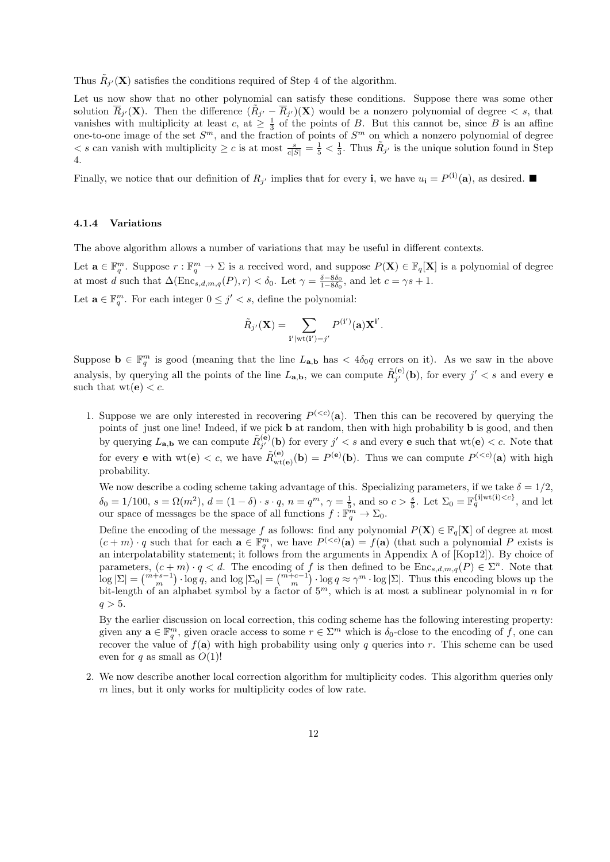Thus  $\tilde{R}_{j'}(\mathbf{X})$  satisfies the conditions required of Step 4 of the algorithm.

Let us now show that no other polynomial can satisfy these conditions. Suppose there was some other solution  $\overline{R}_{j'}(\mathbf{X})$ . Then the difference  $(\tilde{R}_{j'} - \overline{R}_{j'})(\mathbf{X})$  would be a nonzero polynomial of degree  $\langle s, s \rangle$ , that vanishes with multiplicity at least c, at  $\geq \frac{1}{3}$  of the points of B. But this cannot be, since B is an affine one-to-one image of the set  $S<sup>m</sup>$ , and the fraction of points of  $S<sup>m</sup>$  on which a nonzero polynomial of degree  $\langle s \rangle$  can vanish with multiplicity  $\geq c$  is at most  $\frac{s}{c|S|} = \frac{1}{5} \langle \frac{1}{3} \rangle$ . Thus  $\tilde{R}_{j'}$  is the unique solution found in Step 4.

Finally, we notice that our definition of  $R_{j'}$  implies that for every **i**, we have  $u_i = P^{(i)}(a)$ , as desired.

#### 4.1.4 Variations

The above algorithm allows a number of variations that may be useful in different contexts.

Let  $\mathbf{a} \in \mathbb{F}_q^m$ . Suppose  $r : \mathbb{F}_q^m \to \Sigma$  is a received word, and suppose  $P(\mathbf{X}) \in \mathbb{F}_q[\mathbf{X}]$  is a polynomial of degree at most d such that  $\Delta(\text{Enc}_{s,d,m,q}(P), r) < \delta_0$ . Let  $\gamma = \frac{\delta - 8\delta_0}{1 - 8\delta_0}$ , and let  $c = \gamma s + 1$ .

Let  $\mathbf{a} \in \mathbb{F}_q^m$ . For each integer  $0 \leq j' < s$ , define the polynomial:

$$
\tilde{R}_{j'}(\mathbf{X}) = \sum_{\mathbf{i'} \mid \mathrm{wt}(\mathbf{i'}) = j'} P^{(\mathbf{i'})}(\mathbf{a}) \mathbf{X}^{\mathbf{i'}}.
$$

Suppose  $\mathbf{b} \in \mathbb{F}_q^m$  is good (meaning that the line  $L_{\mathbf{a},\mathbf{b}}$  has  $\lt 4\delta_0 q$  errors on it). As we saw in the above analysis, by querying all the points of the line  $L_{\mathbf{a},\mathbf{b}}$ , we can compute  $\tilde{R}^{(\mathbf{e})}_{i'}$  $j_j^{(\mathbf{e})}(\mathbf{b})$ , for every  $j' < s$  and every e such that  $wt(e) < c$ .

1. Suppose we are only interested in recovering  $P^{(. Then this can be recovered by querying the$ points of just one line! Indeed, if we pick b at random, then with high probability b is good, and then by querying  $L_{\mathbf{a},\mathbf{b}}$  we can compute  $\tilde{R}_{i'}^{(\mathbf{e})}$  $j'_{j'}(\mathbf{b})$  for every  $j' < s$  and every **e** such that  $\text{wt}(\mathbf{e}) < c$ . Note that for every **e** with  $wt(e) < c$ , we have  $\tilde{R}_{wtt}^{(e)}$  $W_{\text{wt}(e)}^{(e)}(\mathbf{b}) = P^{(e)}(\mathbf{b})$ . Thus we can compute  $P^{( with high$ probability.

We now describe a coding scheme taking advantage of this. Specializing parameters, if we take  $\delta = 1/2$ ,  $\delta_0 = 1/100, s = \Omega(m^2), d = (1 - \delta) \cdot s \cdot q, n = q^m, \gamma = \frac{1}{5}$ , and so  $c > \frac{s}{5}$ . Let  $\Sigma_0 = \mathbb{F}_q^{\{i \mid \text{wt}(i) < c\}}$ , and let our space of messages be the space of all functions  $f : \mathbb{F}_q^m \to \Sigma_0$ .

Define the encoding of the message f as follows: find any polynomial  $P(X) \in \mathbb{F}_q[X]$  of degree at most  $(c+m)\cdot q$  such that for each  $\mathbf{a}\in \mathbb{F}_q^m$ , we have  $P^{( (that such a polynomial P exists is$ an interpolatability statement; it follows from the arguments in Appendix A of [Kop12]). By choice of parameters,  $(c+m) \cdot q < d$ . The encoding of f is then defined to be  $\text{Enc}_{s,d,m,q}(P) \in \Sigma^n$ . Note that  $\log |\Sigma| = \binom{m+s-1}{m} \cdot \log q$ , and  $\log |\Sigma_0| = \binom{m+c-1}{m} \cdot \log q \approx \gamma^m \cdot \log |\Sigma|$ . Thus this encoding blows up the bit-length of an alphabet symbol by a factor of  $5<sup>m</sup>$ , which is at most a sublinear polynomial in n for  $q > 5$ .

By the earlier discussion on local correction, this coding scheme has the following interesting property: given any  $\mathbf{a} \in \mathbb{F}_q^m$ , given oracle access to some  $r \in \Sigma^m$  which is  $\delta_0$ -close to the encoding of f, one can recover the value of  $f(\mathbf{a})$  with high probability using only q queries into r. This scheme can be used even for q as small as  $O(1)!$ 

2. We now describe another local correction algorithm for multiplicity codes. This algorithm queries only m lines, but it only works for multiplicity codes of low rate.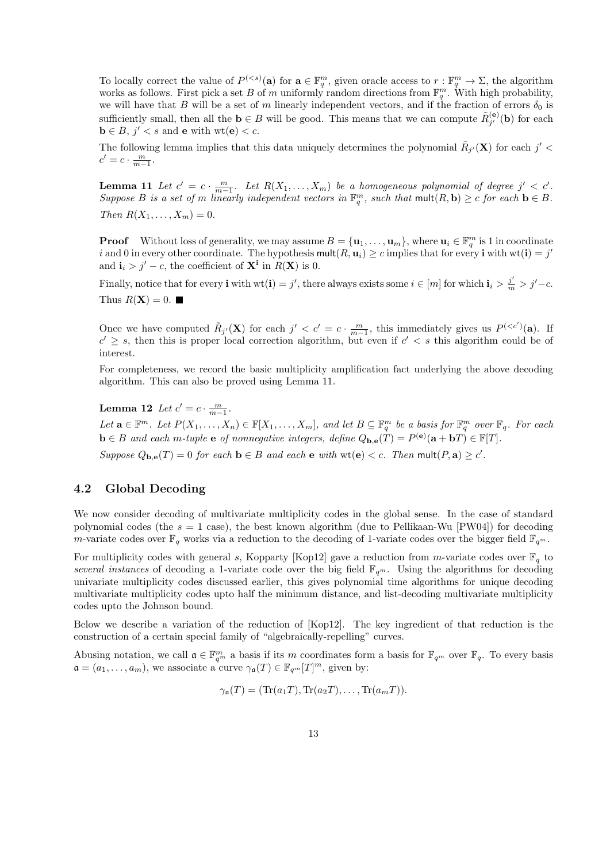To locally correct the value of  $P^{(*s*)}(a)$  for  $a \in \mathbb{F}_q^m$ , given oracle access to  $r : \mathbb{F}_q^m \to \Sigma$ , the algorithm works as follows. First pick a set B of m uniformly random directions from  $\mathbb{F}_q^m$ . With high probability, we will have that B will be a set of m linearly independent vectors, and if the fraction of errors  $\delta_0$  is sufficiently small, then all the  $\mathbf{b} \in B$  will be good. This means that we can compute  $\tilde{R}_{i'}^{(\mathbf{e})}$  $\mathbf{b}_{j'}^{(e)}(\mathbf{b})$  for each  $\mathbf{b} \in B, j' < s$  and  $\mathbf{e}$  with  $\text{wt}(\mathbf{e}) < c$ .

The following lemma implies that this data uniquely determines the polynomial  $\tilde{R}_{j'}(\mathbf{X})$  for each  $j'$  <  $c' = c \cdot \frac{m}{m-1}.$ 

**Lemma 11** Let  $c' = c \cdot \frac{m}{m-1}$ . Let  $R(X_1, \ldots, X_m)$  be a homogeneous polynomial of degree  $j' < c'$ . Suppose B is a set of m linearly independent vectors in  $\mathbb{F}_q^m$ , such that  $\text{mult}(R, \mathbf{b}) \geq c$  for each  $\mathbf{b} \in B$ . Then  $R(X_1, ..., X_m) = 0$ .

**Proof** Without loss of generality, we may assume  $B = {\mathbf{u}_1, \dots, \mathbf{u}_m}$ , where  $\mathbf{u}_i \in \mathbb{F}_q^m$  is 1 in coordinate i and 0 in every other coordinate. The hypothesis  $\text{mult}(R, \mathbf{u}_i) \geq c$  implies that for every i with  $\text{wt}(\mathbf{i}) = j'$ and  $\mathbf{i}_i > j' - c$ , the coefficient of  $\mathbf{X}^i$  in  $R(\mathbf{X})$  is 0.

Finally, notice that for every **i** with  $wt(i) = j'$ , there always exists some  $i \in [m]$  for which  $\mathbf{i}_i > \frac{j'}{m} > j' - c$ . Thus  $R(\mathbf{X}) = 0$ .

Once we have computed  $\tilde{R}_{j'}(\mathbf{X})$  for each  $j' < c' = c \cdot \frac{m}{m-1}$ , this immediately gives us  $P^{(. If$  $c' \geq s$ , then this is proper local correction algorithm, but even if  $c' < s$  this algorithm could be of interest.

For completeness, we record the basic multiplicity amplification fact underlying the above decoding algorithm. This can also be proved using Lemma 11.

**Lemma 12** Let  $c' = c \cdot \frac{m}{m-1}$ . Let  $\mathbf{a} \in \mathbb{F}^m$ . Let  $P(X_1, \ldots, X_n) \in \mathbb{F}[X_1, \ldots, X_m]$ , and let  $B \subseteq \mathbb{F}_q^m$  be a basis for  $\mathbb{F}_q^m$  over  $\mathbb{F}_q$ . For each  $\mathbf{b} \in B$  and each m-tuple  $\mathbf{e}$  of nonnegative integers, define  $Q_{\mathbf{b},\mathbf{e}}(T) = P^{(\mathbf{e})}(\mathbf{a} + \mathbf{b}T) \in \mathbb{F}[T]$ . Suppose  $Q_{\mathbf{b},\mathbf{e}}(T) = 0$  for each  $\mathbf{b} \in B$  and each  $\mathbf{e}$  with  $\text{wt}(\mathbf{e}) < c$ . Then  $\text{mult}(P,\mathbf{a}) \geq c'$ .

### 4.2 Global Decoding

We now consider decoding of multivariate multiplicity codes in the global sense. In the case of standard polynomial codes (the  $s = 1$  case), the best known algorithm (due to Pellikaan-Wu [PW04]) for decoding m-variate codes over  $\mathbb{F}_q$  works via a reduction to the decoding of 1-variate codes over the bigger field  $\mathbb{F}_{q^m}$ .

For multiplicity codes with general s, Kopparty [Kop12] gave a reduction from m-variate codes over  $\mathbb{F}_q$  to several instances of decoding a 1-variate code over the big field  $\mathbb{F}_{q^m}$ . Using the algorithms for decoding univariate multiplicity codes discussed earlier, this gives polynomial time algorithms for unique decoding multivariate multiplicity codes upto half the minimum distance, and list-decoding multivariate multiplicity codes upto the Johnson bound.

Below we describe a variation of the reduction of [Kop12]. The key ingredient of that reduction is the construction of a certain special family of "algebraically-repelling" curves.

Abusing notation, we call  $\mathfrak{a} \in \mathbb{F}_{q^m}^m$  a basis if its m coordinates form a basis for  $\mathbb{F}_{q^m}$  over  $\mathbb{F}_q$ . To every basis  $\mathfrak{a} = (a_1, \ldots, a_m)$ , we associate a curve  $\gamma_{\mathfrak{a}}(T) \in \mathbb{F}_{q^m}[T]^m$ , given by:

$$
\gamma_{\mathfrak{a}}(T) = (\text{Tr}(a_1T), \text{Tr}(a_2T), \dots, \text{Tr}(a_mT)).
$$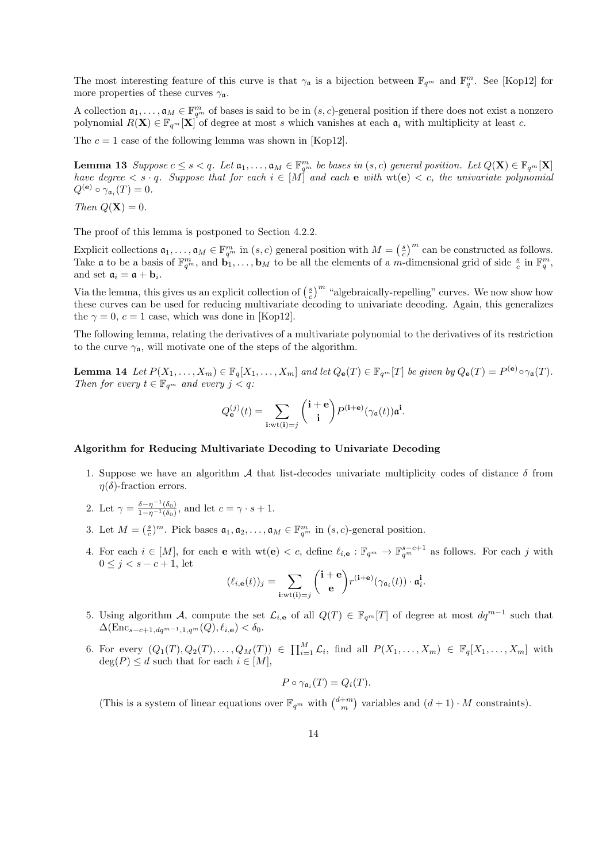The most interesting feature of this curve is that  $\gamma_{\mathfrak{a}}$  is a bijection between  $\mathbb{F}_{q^m}$  and  $\mathbb{F}_q^m$ . See [Kop12] for more properties of these curves  $\gamma_a$ .

A collection  $a_1, \ldots, a_M \in \mathbb{F}_{q^m}^m$  of bases is said to be in  $(s, c)$ -general position if there does not exist a nonzero polynomial  $R(\mathbf{X}) \in \mathbb{F}_{q^m}[\mathbf{X}]$  of degree at most s which vanishes at each  $\mathfrak{a}_i$  with multiplicity at least c.

The  $c = 1$  case of the following lemma was shown in [Kop12].

**Lemma 13** Suppose  $c \leq s < q$ . Let  $\mathfrak{a}_1, \ldots, \mathfrak{a}_M \in \mathbb{F}_{q^m}^m$  be bases in  $(s, c)$  general position. Let  $Q(\mathbf{X}) \in \mathbb{F}_{q^m}[\mathbf{X}]$ have degree  $\langle s \cdot q$ . Suppose that for each  $i \in [M]$  and each e with wt(e)  $\langle c, t \rangle$  the univariate polynomial  $Q^{(e)} \circ \gamma_{\mathfrak{a}_i}(T) = 0.$ 

Then  $Q(\mathbf{X}) = 0$ .

The proof of this lemma is postponed to Section 4.2.2.

Explicit collections  $\mathfrak{a}_1, \ldots, \mathfrak{a}_M \in \mathbb{F}_{q^m}^m$  in  $(s, c)$  general position with  $M = \left(\frac{s}{c}\right)^m$  can be constructed as follows. Take **a** to be a basis of  $\mathbb{F}_{q^m}^m$ , and  $\mathbf{b}_1, \ldots, \mathbf{b}_M$  to be all the elements of a m-dimensional grid of side  $\frac{s}{c}$  in  $\mathbb{F}_q^m$ . and set  $a_i = a + b_i$ .

Via the lemma, this gives us an explicit collection of  $\left(\frac{s}{c}\right)^m$  "algebraically-repelling" curves. We now show how these curves can be used for reducing multivariate decoding to univariate decoding. Again, this generalizes the  $\gamma = 0$ ,  $c = 1$  case, which was done in [Kop12].

The following lemma, relating the derivatives of a multivariate polynomial to the derivatives of its restriction to the curve  $\gamma_a$ , will motivate one of the steps of the algorithm.

**Lemma 14** Let  $P(X_1, ..., X_m) \in \mathbb{F}_q[X_1, ..., X_m]$  and let  $Q_{\mathbf{e}}(T) \in \mathbb{F}_{q^m}[T]$  be given by  $Q_{\mathbf{e}}(T) = P^{(\mathbf{e})} \circ \gamma_{\mathfrak{a}}(T)$ . Then for every  $t \in \mathbb{F}_{q^m}$  and every  $j < q$ :

$$
Q_{\mathbf{e}}^{(j)}(t) = \sum_{\mathbf{i}: \text{wt}(\mathbf{i}) = j} {\mathbf{i} + \mathbf{e} \choose \mathbf{i}} P^{(\mathbf{i} + \mathbf{e})} (\gamma_{\mathfrak{a}}(t)) \mathfrak{a}^{\mathbf{i}}.
$$

#### Algorithm for Reducing Multivariate Decoding to Univariate Decoding

- 1. Suppose we have an algorithm A that list-decodes univariate multiplicity codes of distance  $\delta$  from  $\eta(\delta)$ -fraction errors.
- 2. Let  $\gamma = \frac{\delta \eta^{-1}(\delta_0)}{1 \eta^{-1}(\delta_0)}$ , and let  $c = \gamma \cdot s + 1$ .
- 3. Let  $M = (\frac{s}{c})^m$ . Pick bases  $\mathfrak{a}_1, \mathfrak{a}_2, \ldots, \mathfrak{a}_M \in \mathbb{F}_{q^m}^m$  in  $(s, c)$ -general position.
- 4. For each  $i \in [M]$ , for each **e** with  $\text{wt}(\mathbf{e}) < c$ , define  $\ell_{i,\mathbf{e}} : \mathbb{F}_{q^m} \to \mathbb{F}_{q^m}^{s-c+1}$  as follows. For each j with  $0 \leq i \leq s - c + 1$ , let

$$
(\ell_{i,\mathbf{e}}(t))_j = \sum_{\mathbf{i}: \mathrm{wt}(\mathbf{i})=j} {\mathbf{i} + \mathbf{e} \choose \mathbf{e}} r^{(\mathbf{i}+\mathbf{e})} (\gamma_{\mathfrak{a}_i}(t)) \cdot \mathfrak{a}_i^{\mathbf{i}}.
$$

- 5. Using algorithm A, compute the set  $\mathcal{L}_{i,\mathbf{e}}$  of all  $Q(T) \in \mathbb{F}_{q^m}[T]$  of degree at most  $dq^{m-1}$  such that  $\Delta(\text{Enc}_{s-c+1,dq^{m-1},1,q^m}(Q), \ell_{i,e}) < \delta_0.$
- 6. For every  $(Q_1(T), Q_2(T), \ldots, Q_M(T)) \in \prod_{i=1}^M \mathcal{L}_i$ , find all  $P(X_1, \ldots, X_m) \in \mathbb{F}_q[X_1, \ldots, X_m]$  with  $deg(P) \leq d$  such that for each  $i \in [M]$ ,

$$
P \circ \gamma_{\mathfrak{a}_i}(T) = Q_i(T).
$$

(This is a system of linear equations over  $\mathbb{F}_{q^m}$  with  $\binom{d+m}{m}$  variables and  $(d+1) \cdot M$  constraints).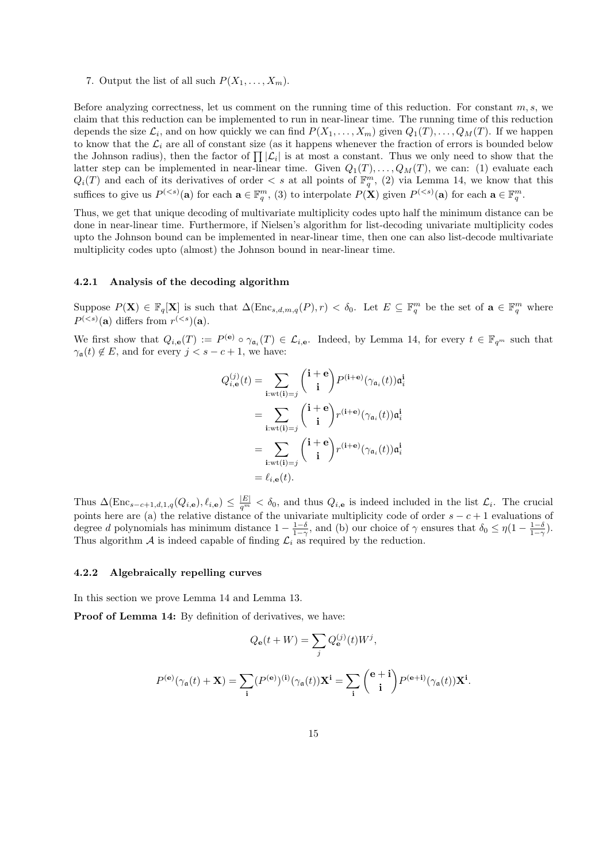7. Output the list of all such  $P(X_1, \ldots, X_m)$ .

Before analyzing correctness, let us comment on the running time of this reduction. For constant  $m, s$ , we claim that this reduction can be implemented to run in near-linear time. The running time of this reduction depends the size  $\mathcal{L}_i$ , and on how quickly we can find  $P(X_1, \ldots, X_m)$  given  $Q_1(T), \ldots, Q_M(T)$ . If we happen to know that the  $\mathcal{L}_i$  are all of constant size (as it happens whenever the fraction of errors is bounded below the Johnson radius), then the factor of  $\prod |\mathcal{L}_i|$  is at most a constant. Thus we only need to show that the latter step can be implemented in near-linear time. Given  $Q_1(T), \ldots, Q_M(T)$ , we can: (1) evaluate each  $Q_i(T)$  and each of its derivatives of order  $\lt s$  at all points of  $\mathbb{F}_q^m$ , (2) via Lemma 14, we know that this suffices to give us  $P^{(*s*)}(a)$  for each  $a \in \mathbb{F}_q^m$ , (3) to interpolate  $P(\mathbf{X})$  given  $P^{(*s*)}(a)$  for each  $a \in \mathbb{F}_q^m$ .

Thus, we get that unique decoding of multivariate multiplicity codes upto half the minimum distance can be done in near-linear time. Furthermore, if Nielsen's algorithm for list-decoding univariate multiplicity codes upto the Johnson bound can be implemented in near-linear time, then one can also list-decode multivariate multiplicity codes upto (almost) the Johnson bound in near-linear time.

#### 4.2.1 Analysis of the decoding algorithm

Suppose  $P(\mathbf{X}) \in \mathbb{F}_q[\mathbf{X}]$  is such that  $\Delta(\text{Enc}_{s,d,m,q}(P), r) < \delta_0$ . Let  $E \subseteq \mathbb{F}_q^m$  be the set of  $\mathbf{a} \in \mathbb{F}_q^m$  where  $P^{(*s*)}(a)$  differs from  $r^{(*s*)}(a)$ .

We first show that  $Q_{i,\mathbf{e}}(T) := P^{(\mathbf{e})} \circ \gamma_{\mathbf{a}_i}(T) \in \mathcal{L}_{i,\mathbf{e}}$ . Indeed, by Lemma 14, for every  $t \in \mathbb{F}_{q^m}$  such that  $\gamma_{\mathfrak{a}}(t) \notin E$ , and for every  $j < s - c + 1$ , we have:

$$
Q_{i,\mathbf{e}}^{(j)}(t) = \sum_{\mathbf{i}: \mathbf{wt}(\mathbf{i}) = j} {\mathbf{i} + \mathbf{e} \choose \mathbf{i}} P^{(\mathbf{i} + \mathbf{e})} (\gamma_{\mathfrak{a}_i}(t)) \mathfrak{a}_i^{\mathbf{i}}
$$
  
\n
$$
= \sum_{\mathbf{i}: \mathbf{wt}(\mathbf{i}) = j} {\mathbf{i} + \mathbf{e} \choose \mathbf{i}} r^{(\mathbf{i} + \mathbf{e})} (\gamma_{\mathfrak{a}_i}(t)) \mathfrak{a}_i^{\mathbf{i}}
$$
  
\n
$$
= \sum_{\mathbf{i}: \mathbf{wt}(\mathbf{i}) = j} {\mathbf{i} + \mathbf{e} \choose \mathbf{i}} r^{(\mathbf{i} + \mathbf{e})} (\gamma_{\mathfrak{a}_i}(t)) \mathfrak{a}_i^{\mathbf{i}}
$$
  
\n
$$
= \ell_{i,\mathbf{e}}(t).
$$

Thus  $\Delta(\text{Enc}_{s-c+1,d,1,q}(Q_{i,e}), \ell_{i,e}) \leq \frac{|E|}{q^m} < \delta_0$ , and thus  $Q_{i,e}$  is indeed included in the list  $\mathcal{L}_i$ . The crucial points here are (a) the relative distance of the univariate multiplicity code of order  $s - c + 1$  evaluations of degree d polynomials has minimum distance  $1 - \frac{1-\delta}{1-\gamma}$ , and (b) our choice of  $\gamma$  ensures that  $\delta_0 \leq \eta \left(1 - \frac{1-\delta}{1-\gamma}\right)$ . Thus algorithm  $A$  is indeed capable of finding  $\mathcal{L}_i$  as required by the reduction.

#### 4.2.2 Algebraically repelling curves

In this section we prove Lemma 14 and Lemma 13.

Proof of Lemma 14: By definition of derivatives, we have:

$$
Q_{\mathbf{e}}(t+W) = \sum_{j} Q_{\mathbf{e}}^{(j)}(t)W^{j},
$$
  

$$
P^{(\mathbf{e})}(\gamma_{\mathbf{a}}(t) + \mathbf{X}) = \sum_{\mathbf{i}} (P^{(\mathbf{e})})^{(\mathbf{i})}(\gamma_{\mathbf{a}}(t))\mathbf{X}^{\mathbf{i}} = \sum_{\mathbf{i}} {(\mathbf{e} + \mathbf{i}) \choose \mathbf{i}} P^{(\mathbf{e} + \mathbf{i})}(\gamma_{\mathbf{a}}(t))\mathbf{X}^{\mathbf{i}}.
$$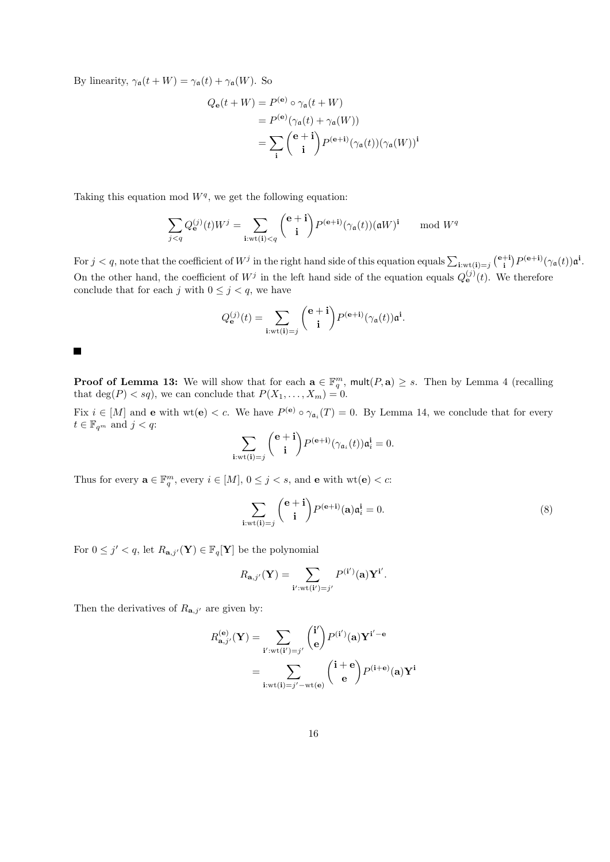By linearity,  $\gamma_{\mathfrak{a}}(t+W) = \gamma_{\mathfrak{a}}(t) + \gamma_{\mathfrak{a}}(W)$ . So

$$
Q_{\mathbf{e}}(t+W) = P^{(\mathbf{e})} \circ \gamma_{\mathbf{a}}(t+W)
$$
  
=  $P^{(\mathbf{e})}(\gamma_{\mathbf{a}}(t) + \gamma_{\mathbf{a}}(W))$   
=  $\sum_{\mathbf{i}} {(\mathbf{e} + \mathbf{i}) \choose \mathbf{i}} P^{(\mathbf{e}+\mathbf{i})}(\gamma_{\mathbf{a}}(t))(\gamma_{\mathbf{a}}(W))^{\mathbf{i}}$ 

Taking this equation mod  $W<sup>q</sup>$ , we get the following equation:

$$
\sum_{j < q} Q_{\mathbf{e}}^{(j)}(t) W^j = \sum_{\mathbf{i}: \text{wt}(\mathbf{i}) < q} {\mathbf{e} + \mathbf{i} \choose \mathbf{i}} P^{(\mathbf{e} + \mathbf{i})} (\gamma_{\mathfrak{a}}(t)) (\mathfrak{a} W)^{\mathbf{i}} \mod W^q
$$

For  $j < q$ , note that the coefficient of  $W^j$  in the right hand side of this equation equals  $\sum_{i:wt(i)=j} {\binom{e+i}{i}} P^{(e+i)}(\gamma_a(t)) \mathfrak{a}^i$ . On the other hand, the coefficient of  $W^j$  in the left hand side of the equation equals  $Q_{\mathbf{e}}^{(j)}(t)$ . We therefore conclude that for each  $j$  with  $0\leq j< q,$  we have

$$
Q_{\mathbf{e}}^{(j)}(t) = \sum_{\mathbf{i}: \mathrm{wt}(\mathbf{i}) = j} {\mathbf{e} + \mathbf{i} \choose \mathbf{i}} P^{(\mathbf{e} + \mathbf{i})} (\gamma_{\mathfrak{a}}(t)) \mathfrak{a}^{\mathbf{i}}.
$$

**Proof of Lemma 13:** We will show that for each  $\mathbf{a} \in \mathbb{F}_q^m$ ,  $\text{mult}(P, \mathbf{a}) \geq s$ . Then by Lemma 4 (recalling that  $\deg(P) < sq$ , we can conclude that  $P(X_1, \ldots, X_m) = 0$ .

Fix  $i \in [M]$  and **e** with  $\text{wt}(\mathbf{e}) < c$ . We have  $P^{(\mathbf{e})} \circ \gamma_{\mathfrak{a}_i}(T) = 0$ . By Lemma 14, we conclude that for every  $t \in \mathbb{F}_{q^m}$  and  $j < q$ :

$$
\sum_{\mathbf{i}: \mathrm{wt}(\mathbf{i})=j} \binom{\mathbf{e}+\mathbf{i}}{\mathbf{i}} P^{(\mathbf{e}+\mathbf{i})} (\gamma_{\mathfrak{a}_i}(t)) \mathfrak{a}_i^{\mathbf{i}} = 0.
$$

Thus for every  $\mathbf{a} \in \mathbb{F}_q^m$ , every  $i \in [M]$ ,  $0 \leq j < s$ , and **e** with  $\text{wt}(\mathbf{e}) < c$ :

$$
\sum_{\mathbf{i}: \text{wt}(\mathbf{i}) = j} \binom{\mathbf{e} + \mathbf{i}}{\mathbf{i}} P^{(\mathbf{e} + \mathbf{i})}(\mathbf{a}) \mathfrak{a}_i^{\mathbf{i}} = 0.
$$
 (8)

For  $0 \leq j' < q$ , let  $R_{\mathbf{a},j'}(\mathbf{Y}) \in \mathbb{F}_q[\mathbf{Y}]$  be the polynomial

$$
R_{\mathbf{a},j'}(\mathbf{Y}) = \sum_{\mathbf{i}': \mathbf{wt}(\mathbf{i}')=j'} P^{(\mathbf{i}')}(\mathbf{a}) \mathbf{Y}^{\mathbf{i}'}.
$$

Then the derivatives of  $R_{\mathbf{a},j'}$  are given by:

$$
R_{\mathbf{a},j'}^{(\mathbf{e})}(\mathbf{Y}) = \sum_{\mathbf{i'} : \text{wt}(\mathbf{i'}) = j'} {i' \choose \mathbf{e}} P^{(\mathbf{i'})}(\mathbf{a}) \mathbf{Y}^{\mathbf{i'} - \mathbf{e}}
$$
  
= 
$$
\sum_{\mathbf{i}: \text{wt}(\mathbf{i}) = j' - \text{wt}(\mathbf{e})} {(\mathbf{i} + \mathbf{e}) \choose \mathbf{e}} P^{(\mathbf{i} + \mathbf{e})}(\mathbf{a}) \mathbf{Y}^{\mathbf{i}}
$$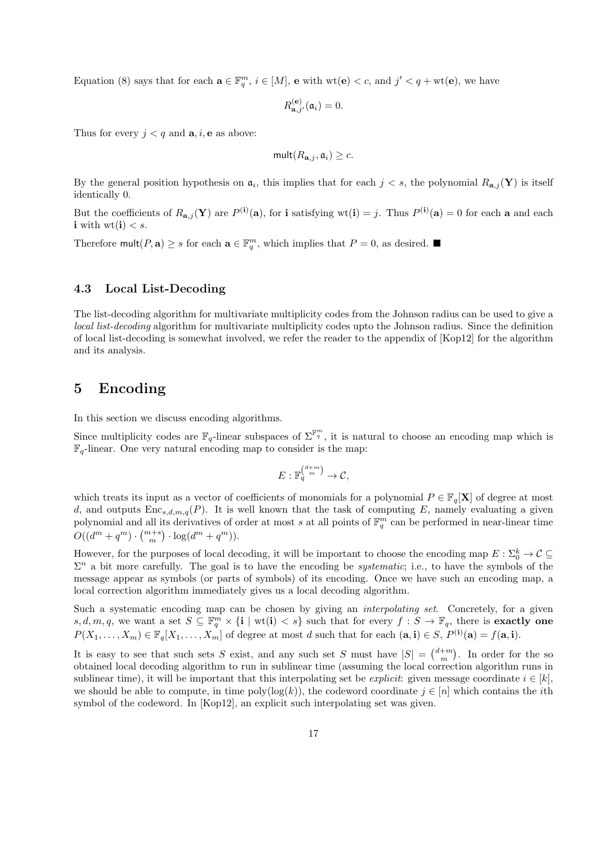Equation (8) says that for each  $\mathbf{a} \in \mathbb{F}_q^m$ ,  $i \in [M]$ ,  $\mathbf{e}$  with  $\text{wt}(\mathbf{e}) < c$ , and  $j' < q + \text{wt}(\mathbf{e})$ , we have

$$
R_{\mathbf{a},j'}^{(\mathbf{e})}(\mathfrak{a}_i)=0.
$$

Thus for every  $j < q$  and  $a, i, e$  as above:

$$
\mathsf{mult}(R_{\mathbf{a},j}, \mathfrak{a}_i) \geq c.
$$

By the general position hypothesis on  $a_i$ , this implies that for each  $j < s$ , the polynomial  $R_{a,j}(\mathbf{Y})$  is itself identically 0.

But the coefficients of  $R_{\mathbf{a},j}(\mathbf{Y})$  are  $P^{(i)}(\mathbf{a})$ , for i satisfying wt $(i) = j$ . Thus  $P^{(i)}(\mathbf{a}) = 0$  for each a and each i with  $wt(i) < s$ .

Therefore  $\text{mult}(P, \mathbf{a}) \geq s$  for each  $\mathbf{a} \in \mathbb{F}_q^m$ , which implies that  $P = 0$ , as desired.

### 4.3 Local List-Decoding

The list-decoding algorithm for multivariate multiplicity codes from the Johnson radius can be used to give a local list-decoding algorithm for multivariate multiplicity codes upto the Johnson radius. Since the definition of local list-decoding is somewhat involved, we refer the reader to the appendix of [Kop12] for the algorithm and its analysis.

### 5 Encoding

In this section we discuss encoding algorithms.

Since multiplicity codes are  $\mathbb{F}_q$ -linear subspaces of  $\Sigma^{\mathbb{F}_q^m}$ , it is natural to choose an encoding map which is  $\mathbb{F}_q$ -linear. One very natural encoding map to consider is the map:

$$
E: \mathbb{F}_q^{\binom{d+m}{m}} \to \mathcal{C},
$$

which treats its input as a vector of coefficients of monomials for a polynomial  $P \in \mathbb{F}_q[\mathbf{X}]$  of degree at most d, and outputs  $Enc_{s,d,m,q}(P)$ . It is well known that the task of computing E, namely evaluating a given polynomial and all its derivatives of order at most s at all points of  $\mathbb{F}_q^m$  can be performed in near-linear time  $O((d^{m} + q^{m}) \cdot {m+s \choose m} \cdot \log(d^{m} + q^{m})).$ 

However, for the purposes of local decoding, it will be important to choose the encoding map  $E: \Sigma_0^k \to \mathcal{C} \subseteq$  $\Sigma^n$  a bit more carefully. The goal is to have the encoding be *systematic*; i.e., to have the symbols of the message appear as symbols (or parts of symbols) of its encoding. Once we have such an encoding map, a local correction algorithm immediately gives us a local decoding algorithm.

Such a systematic encoding map can be chosen by giving an *interpolating set*. Concretely, for a given  $s, d, m, q$ , we want a set  $S \subseteq \mathbb{F}_q^m \times \{i \mid \text{wt}(i) < s\}$  such that for every  $f : S \to \mathbb{F}_q$ , there is **exactly one**  $P(X_1, \ldots, X_m) \in \mathbb{F}_q[X_1, \ldots, X_m]$  of degree at most d such that for each  $(\mathbf{a}, \mathbf{i}) \in S$ ,  $P^{(\mathbf{i})}(\mathbf{a}) = f(\mathbf{a}, \mathbf{i})$ .

It is easy to see that such sets S exist, and any such set S must have  $|S| = {d+m \choose m}$ . In order for the so obtained local decoding algorithm to run in sublinear time (assuming the local correction algorithm runs in sublinear time), it will be important that this interpolating set be *explicit*: given message coordinate  $i \in [k]$ , we should be able to compute, in time  $\text{poly}(\log(k))$ , the codeword coordinate  $j \in [n]$  which contains the *i*th symbol of the codeword. In [Kop12], an explicit such interpolating set was given.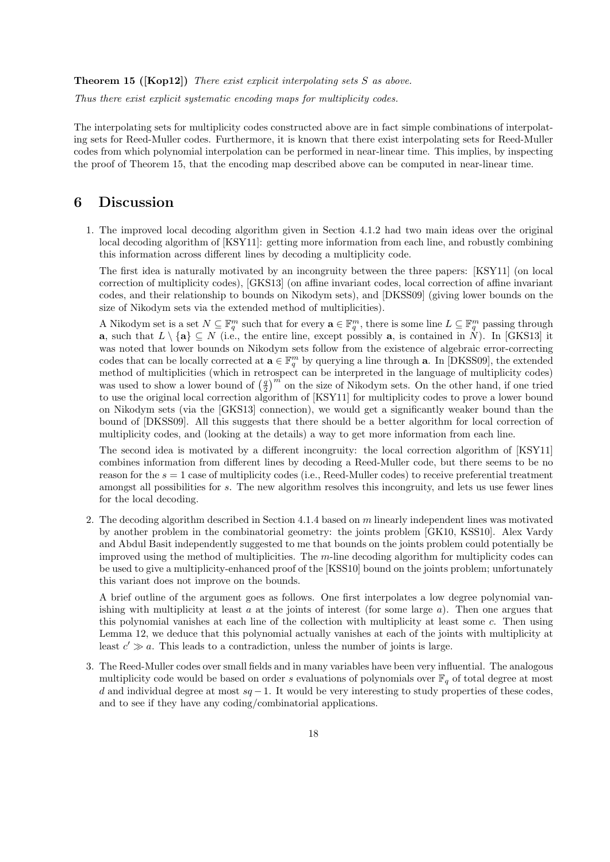Theorem 15 ([Kop12]) There exist explicit interpolating sets S as above.

Thus there exist explicit systematic encoding maps for multiplicity codes.

The interpolating sets for multiplicity codes constructed above are in fact simple combinations of interpolating sets for Reed-Muller codes. Furthermore, it is known that there exist interpolating sets for Reed-Muller codes from which polynomial interpolation can be performed in near-linear time. This implies, by inspecting the proof of Theorem 15, that the encoding map described above can be computed in near-linear time.

### 6 Discussion

1. The improved local decoding algorithm given in Section 4.1.2 had two main ideas over the original local decoding algorithm of [KSY11]: getting more information from each line, and robustly combining this information across different lines by decoding a multiplicity code.

The first idea is naturally motivated by an incongruity between the three papers: [KSY11] (on local correction of multiplicity codes), [GKS13] (on affine invariant codes, local correction of affine invariant codes, and their relationship to bounds on Nikodym sets), and [DKSS09] (giving lower bounds on the size of Nikodym sets via the extended method of multiplicities).

A Nikodym set is a set  $N \subseteq \mathbb{F}_q^m$  such that for every  $\mathbf{a} \in \mathbb{F}_q^m$ , there is some line  $L \subseteq \mathbb{F}_q^m$  passing through a, such that  $L \setminus \{a\} \subseteq N$  (i.e., the entire line, except possibly a, is contained in N). In [GKS13] it was noted that lower bounds on Nikodym sets follow from the existence of algebraic error-correcting codes that can be locally corrected at  $\mathbf{a} \in \mathbb{F}_q^m$  by querying a line through **a**. In [DKSS09], the extended method of multiplicities (which in retrospect can be interpreted in the language of multiplicity codes) was used to show a lower bound of  $\left(\frac{q}{2}\right)^m$  on the size of Nikodym sets. On the other hand, if one tried to use the original local correction algorithm of [KSY11] for multiplicity codes to prove a lower bound on Nikodym sets (via the [GKS13] connection), we would get a significantly weaker bound than the bound of [DKSS09]. All this suggests that there should be a better algorithm for local correction of multiplicity codes, and (looking at the details) a way to get more information from each line.

The second idea is motivated by a different incongruity: the local correction algorithm of [KSY11] combines information from different lines by decoding a Reed-Muller code, but there seems to be no reason for the  $s = 1$  case of multiplicity codes (i.e., Reed-Muller codes) to receive preferential treatment amongst all possibilities for s. The new algorithm resolves this incongruity, and lets us use fewer lines for the local decoding.

2. The decoding algorithm described in Section 4.1.4 based on m linearly independent lines was motivated by another problem in the combinatorial geometry: the joints problem [GK10, KSS10]. Alex Vardy and Abdul Basit independently suggested to me that bounds on the joints problem could potentially be improved using the method of multiplicities. The  $m$ -line decoding algorithm for multiplicity codes can be used to give a multiplicity-enhanced proof of the [KSS10] bound on the joints problem; unfortunately this variant does not improve on the bounds.

A brief outline of the argument goes as follows. One first interpolates a low degree polynomial vanishing with multiplicity at least  $a$  at the joints of interest (for some large  $a$ ). Then one argues that this polynomial vanishes at each line of the collection with multiplicity at least some c. Then using Lemma 12, we deduce that this polynomial actually vanishes at each of the joints with multiplicity at least  $c' \gg a$ . This leads to a contradiction, unless the number of joints is large.

3. The Reed-Muller codes over small fields and in many variables have been very influential. The analogous multiplicity code would be based on order s evaluations of polynomials over  $\mathbb{F}_q$  of total degree at most d and individual degree at most  $sq - 1$ . It would be very interesting to study properties of these codes, and to see if they have any coding/combinatorial applications.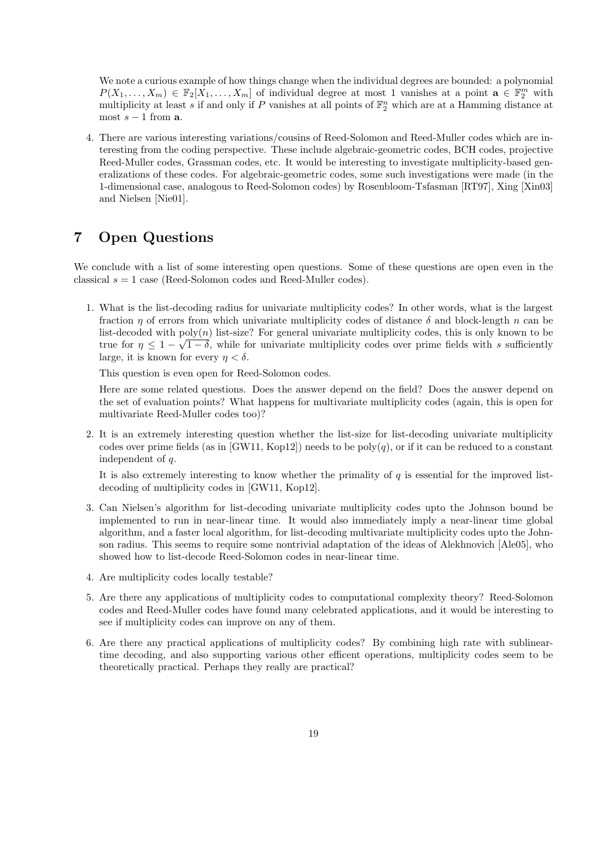We note a curious example of how things change when the individual degrees are bounded: a polynomial  $P(X_1, \ldots, X_m) \in \mathbb{F}_2[X_1, \ldots, X_m]$  of individual degree at most 1 vanishes at a point  $\mathbf{a} \in \mathbb{F}_2^m$  with multiplicity at least s if and only if P vanishes at all points of  $\mathbb{F}_2^n$  which are at a Hamming distance at most  $s - 1$  from  $a$ .

4. There are various interesting variations/cousins of Reed-Solomon and Reed-Muller codes which are interesting from the coding perspective. These include algebraic-geometric codes, BCH codes, projective Reed-Muller codes, Grassman codes, etc. It would be interesting to investigate multiplicity-based generalizations of these codes. For algebraic-geometric codes, some such investigations were made (in the 1-dimensional case, analogous to Reed-Solomon codes) by Rosenbloom-Tsfasman [RT97], Xing [Xin03] and Nielsen [Nie01].

# 7 Open Questions

We conclude with a list of some interesting open questions. Some of these questions are open even in the classical  $s = 1$  case (Reed-Solomon codes and Reed-Muller codes).

1. What is the list-decoding radius for univariate multiplicity codes? In other words, what is the largest fraction  $\eta$  of errors from which univariate multiplicity codes of distance  $\delta$  and block-length n can be list-decoded with  $poly(n)$  list-size? For general univariate multiplicity codes, this is only known to be true for  $\eta \leq 1-\sqrt{1-\delta}$ , while for univariate multiplicity codes over prime fields with s sufficiently large, it is known for every  $\eta < \delta$ .

This question is even open for Reed-Solomon codes.

Here are some related questions. Does the answer depend on the field? Does the answer depend on the set of evaluation points? What happens for multivariate multiplicity codes (again, this is open for multivariate Reed-Muller codes too)?

2. It is an extremely interesting question whether the list-size for list-decoding univariate multiplicity codes over prime fields (as in [GW11, Kop12]) needs to be  $poly(q)$ , or if it can be reduced to a constant independent of q.

It is also extremely interesting to know whether the primality of  $q$  is essential for the improved listdecoding of multiplicity codes in [GW11, Kop12].

- 3. Can Nielsen's algorithm for list-decoding univariate multiplicity codes upto the Johnson bound be implemented to run in near-linear time. It would also immediately imply a near-linear time global algorithm, and a faster local algorithm, for list-decoding multivariate multiplicity codes upto the Johnson radius. This seems to require some nontrivial adaptation of the ideas of Alekhnovich [Ale05], who showed how to list-decode Reed-Solomon codes in near-linear time.
- 4. Are multiplicity codes locally testable?
- 5. Are there any applications of multiplicity codes to computational complexity theory? Reed-Solomon codes and Reed-Muller codes have found many celebrated applications, and it would be interesting to see if multiplicity codes can improve on any of them.
- 6. Are there any practical applications of multiplicity codes? By combining high rate with sublineartime decoding, and also supporting various other efficent operations, multiplicity codes seem to be theoretically practical. Perhaps they really are practical?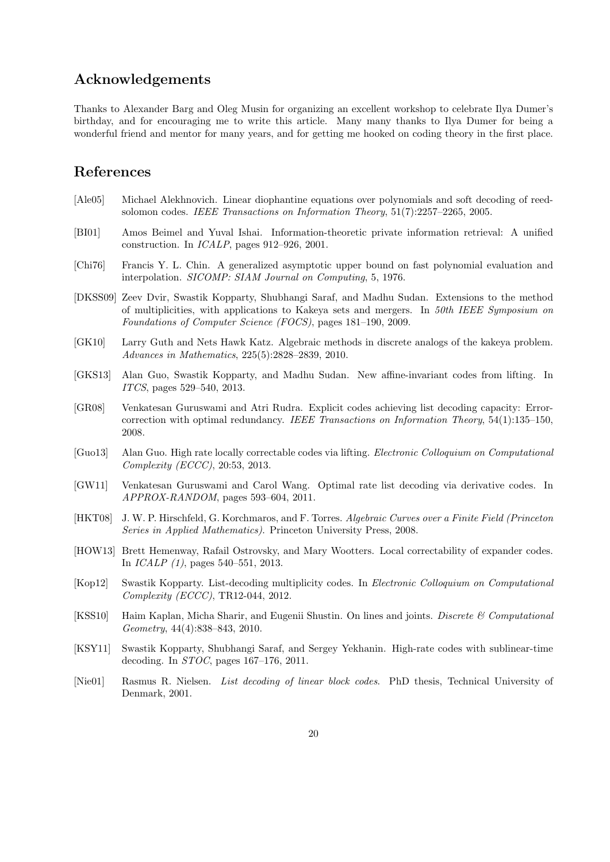# Acknowledgements

Thanks to Alexander Barg and Oleg Musin for organizing an excellent workshop to celebrate Ilya Dumer's birthday, and for encouraging me to write this article. Many many thanks to Ilya Dumer for being a wonderful friend and mentor for many years, and for getting me hooked on coding theory in the first place.

### References

- [Ale05] Michael Alekhnovich. Linear diophantine equations over polynomials and soft decoding of reedsolomon codes. IEEE Transactions on Information Theory, 51(7):2257–2265, 2005.
- [BI01] Amos Beimel and Yuval Ishai. Information-theoretic private information retrieval: A unified construction. In ICALP, pages 912–926, 2001.
- [Chi76] Francis Y. L. Chin. A generalized asymptotic upper bound on fast polynomial evaluation and interpolation. SICOMP: SIAM Journal on Computing, 5, 1976.
- [DKSS09] Zeev Dvir, Swastik Kopparty, Shubhangi Saraf, and Madhu Sudan. Extensions to the method of multiplicities, with applications to Kakeya sets and mergers. In 50th IEEE Symposium on Foundations of Computer Science (FOCS), pages 181–190, 2009.
- [GK10] Larry Guth and Nets Hawk Katz. Algebraic methods in discrete analogs of the kakeya problem. Advances in Mathematics, 225(5):2828–2839, 2010.
- [GKS13] Alan Guo, Swastik Kopparty, and Madhu Sudan. New affine-invariant codes from lifting. In ITCS, pages 529–540, 2013.
- [GR08] Venkatesan Guruswami and Atri Rudra. Explicit codes achieving list decoding capacity: Errorcorrection with optimal redundancy. IEEE Transactions on Information Theory, 54(1):135–150, 2008.
- [Guo13] Alan Guo. High rate locally correctable codes via lifting. Electronic Colloquium on Computational Complexity (ECCC), 20:53, 2013.
- [GW11] Venkatesan Guruswami and Carol Wang. Optimal rate list decoding via derivative codes. In APPROX-RANDOM, pages 593–604, 2011.
- [HKT08] J. W. P. Hirschfeld, G. Korchmaros, and F. Torres. Algebraic Curves over a Finite Field (Princeton Series in Applied Mathematics). Princeton University Press, 2008.
- [HOW13] Brett Hemenway, Rafail Ostrovsky, and Mary Wootters. Local correctability of expander codes. In ICALP (1), pages 540–551, 2013.
- [Kop12] Swastik Kopparty. List-decoding multiplicity codes. In Electronic Colloquium on Computational Complexity (ECCC), TR12-044, 2012.
- [KSS10] Haim Kaplan, Micha Sharir, and Eugenii Shustin. On lines and joints. Discrete & Computational Geometry, 44(4):838–843, 2010.
- [KSY11] Swastik Kopparty, Shubhangi Saraf, and Sergey Yekhanin. High-rate codes with sublinear-time decoding. In STOC, pages 167–176, 2011.
- [Nie01] Rasmus R. Nielsen. List decoding of linear block codes. PhD thesis, Technical University of Denmark, 2001.